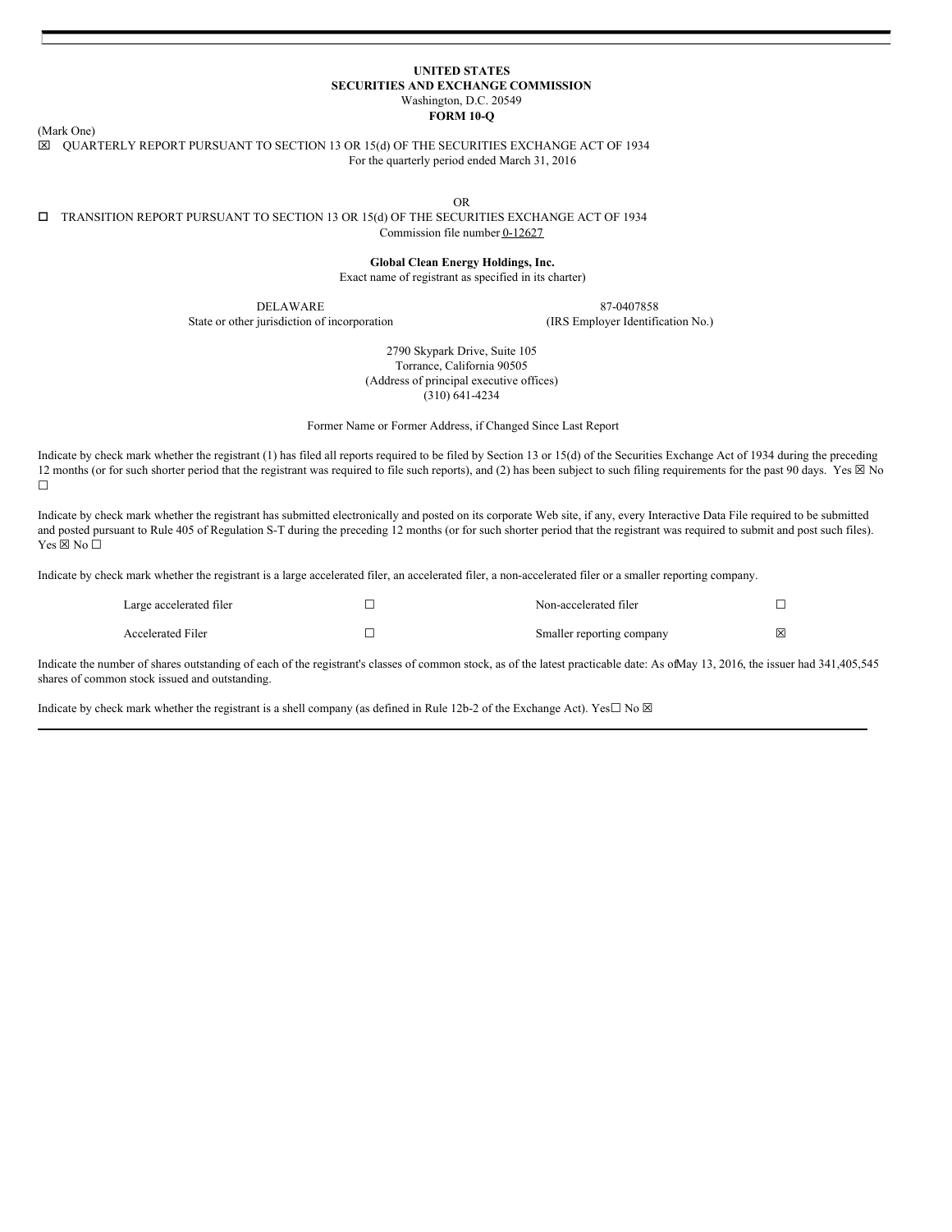### **UNITED STATES SECURITIES AND EXCHANGE COMMISSION** Washington, D.C. 20549

**FORM 10-Q**

(Mark One)

x QUARTERLY REPORT PURSUANT TO SECTION 13 OR 15(d) OF THE SECURITIES EXCHANGE ACT OF 1934 For the quarterly period ended March 31, 2016

OR

o TRANSITION REPORT PURSUANT TO SECTION 13 OR 15(d) OF THE SECURITIES EXCHANGE ACT OF 1934 Commission file number 0-12627

**Global Clean Energy Holdings, Inc.**

Exact name of registrant as specified in its charter)

DELAWARE 87-0407858 State or other jurisdiction of incorporation (IRS Employer Identification No.)

2790 Skypark Drive, Suite 105 Torrance, California 90505 (Address of principal executive offices) (310) 641-4234

Former Name or Former Address, if Changed Since Last Report

Indicate by check mark whether the registrant (1) has filed all reports required to be filed by Section 13 or 15(d) of the Securities Exchange Act of 1934 during the preceding 12 months (or for such shorter period that the registrant was required to file such reports), and (2) has been subject to such filing requirements for the past 90 days. Yes  $\boxtimes$  No ☐

Indicate by check mark whether the registrant has submitted electronically and posted on its corporate Web site, if any, every Interactive Data File required to be submitted and posted pursuant to Rule 405 of Regulation S-T during the preceding 12 months (or for such shorter period that the registrant was required to submit and post such files). Yes  $\boxtimes$  No  $\Box$ 

Indicate by check mark whether the registrant is a large accelerated filer, an accelerated filer, a non-accelerated filer or a smaller reporting company.

| Large accelerated filer  | Non-accelerated filer     |   |
|--------------------------|---------------------------|---|
| <b>Accelerated Filer</b> | Smaller reporting company | ⊠ |

Indicate the number of shares outstanding of each of the registrant's classes of common stock, as of the latest practicable date: As ofMay 13, 2016, the issuer had 341,405,545 shares of common stock issued and outstanding.

Indicate by check mark whether the registrant is a shell company (as defined in Rule 12b-2 of the Exchange Act). Yes $\Box$  No  $\boxtimes$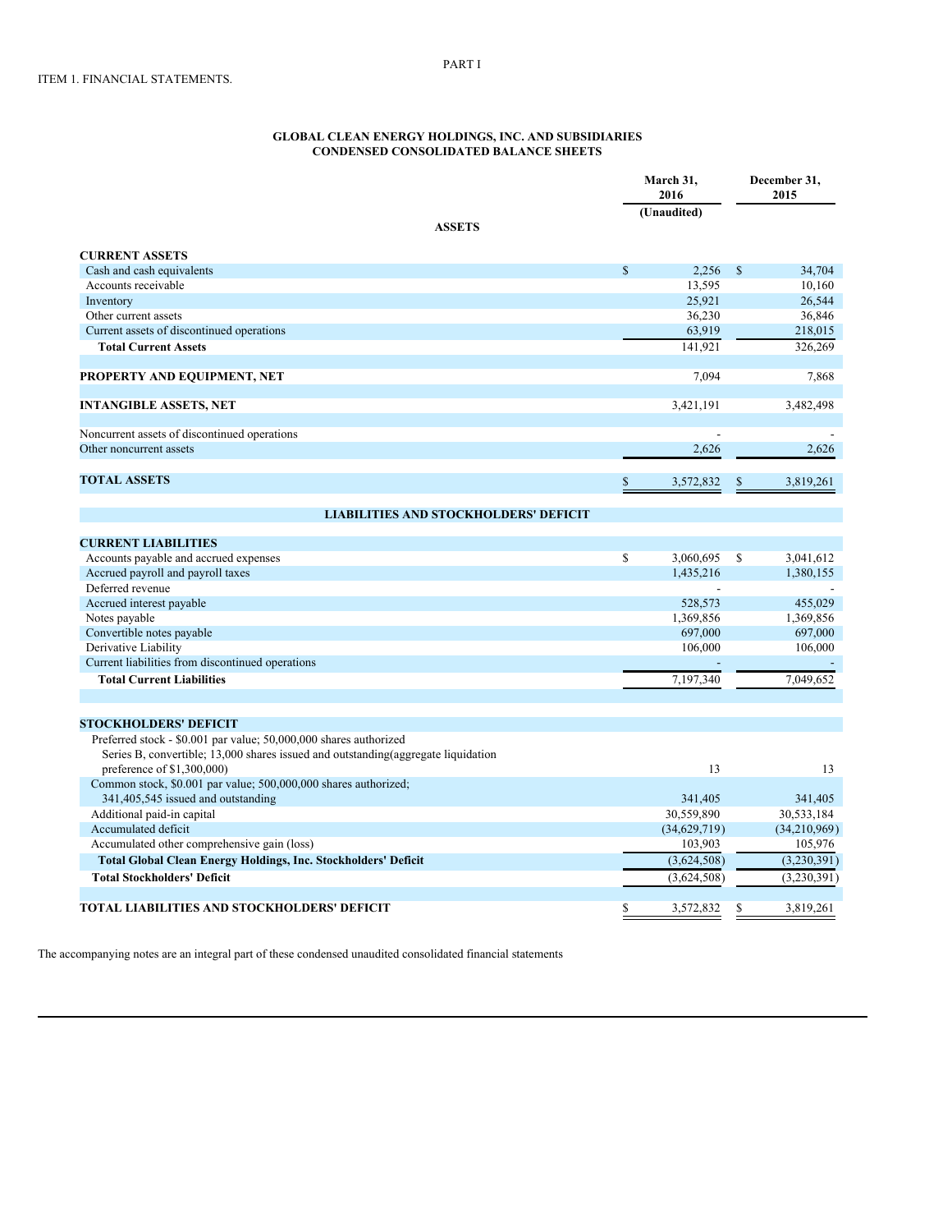#### **GLOBAL CLEAN ENERGY HOLDINGS, INC. AND SUBSIDIARIES CONDENSED CONSOLIDATED BALANCE SHEETS**

|                                                                                    |              | March 31,<br>2016 |              | December 31,<br>2015 |  |
|------------------------------------------------------------------------------------|--------------|-------------------|--------------|----------------------|--|
| <b>ASSETS</b>                                                                      |              | (Unaudited)       |              |                      |  |
|                                                                                    |              |                   |              |                      |  |
| <b>CURRENT ASSETS</b>                                                              |              |                   |              |                      |  |
| Cash and cash equivalents                                                          | $\mathbb{S}$ | 2,256             | $\mathbb{S}$ | 34,704               |  |
| Accounts receivable                                                                |              | 13,595            |              | 10,160               |  |
| Inventory                                                                          |              | 25,921            |              | 26,544               |  |
| Other current assets                                                               |              | 36,230            |              | 36,846               |  |
| Current assets of discontinued operations                                          |              | 63,919            |              | 218,015              |  |
| <b>Total Current Assets</b>                                                        |              | 141,921           |              | 326,269              |  |
| PROPERTY AND EQUIPMENT, NET                                                        |              | 7,094             |              | 7,868                |  |
| <b>INTANGIBLE ASSETS, NET</b>                                                      |              | 3,421,191         |              | 3,482,498            |  |
| Noncurrent assets of discontinued operations                                       |              |                   |              |                      |  |
| Other noncurrent assets                                                            |              | 2,626             |              | 2,626                |  |
|                                                                                    |              |                   |              |                      |  |
| <b>TOTAL ASSETS</b>                                                                | \$           | 3,572,832         | S            | 3,819,261            |  |
| <b>LIABILITIES AND STOCKHOLDERS' DEFICIT</b>                                       |              |                   |              |                      |  |
| <b>CURRENT LIABILITIES</b>                                                         |              |                   |              |                      |  |
| Accounts payable and accrued expenses                                              | \$           | 3,060,695         | S            | 3,041,612            |  |
| Accrued payroll and payroll taxes                                                  |              | 1,435,216         |              | 1,380,155            |  |
| Deferred revenue                                                                   |              |                   |              |                      |  |
| Accrued interest payable                                                           |              | 528,573           |              | 455,029              |  |
| Notes payable                                                                      |              | 1,369,856         |              | 1,369,856            |  |
| Convertible notes payable                                                          |              | 697,000           |              | 697,000              |  |
| Derivative Liability                                                               |              | 106,000           |              | 106,000              |  |
| Current liabilities from discontinued operations                                   |              |                   |              |                      |  |
| <b>Total Current Liabilities</b>                                                   |              | 7,197,340         |              | 7,049,652            |  |
|                                                                                    |              |                   |              |                      |  |
| <b>STOCKHOLDERS' DEFICIT</b>                                                       |              |                   |              |                      |  |
| Preferred stock - \$0.001 par value; 50,000,000 shares authorized                  |              |                   |              |                      |  |
| Series B, convertible; 13,000 shares issued and outstanding (aggregate liquidation |              |                   |              |                      |  |
| preference of \$1,300,000)                                                         |              | 13                |              | 13                   |  |
| Common stock, \$0.001 par value; 500,000,000 shares authorized;                    |              |                   |              |                      |  |
| 341,405,545 issued and outstanding                                                 |              | 341,405           |              | 341,405              |  |
| Additional paid-in capital                                                         |              | 30,559,890        |              | 30,533,184           |  |
| Accumulated deficit                                                                |              | (34, 629, 719)    |              | (34,210,969)         |  |
| Accumulated other comprehensive gain (loss)                                        |              | 103,903           |              | 105,976              |  |
| <b>Total Global Clean Energy Holdings, Inc. Stockholders' Deficit</b>              |              | (3,624,508)       |              | (3,230,391)          |  |
| <b>Total Stockholders' Deficit</b>                                                 |              | (3,624,508)       |              | (3,230,391)          |  |
| TOTAL LIABILITIES AND STOCKHOLDERS' DEFICIT                                        | S            | 3,572,832         | S            | 3,819,261            |  |
|                                                                                    |              |                   |              |                      |  |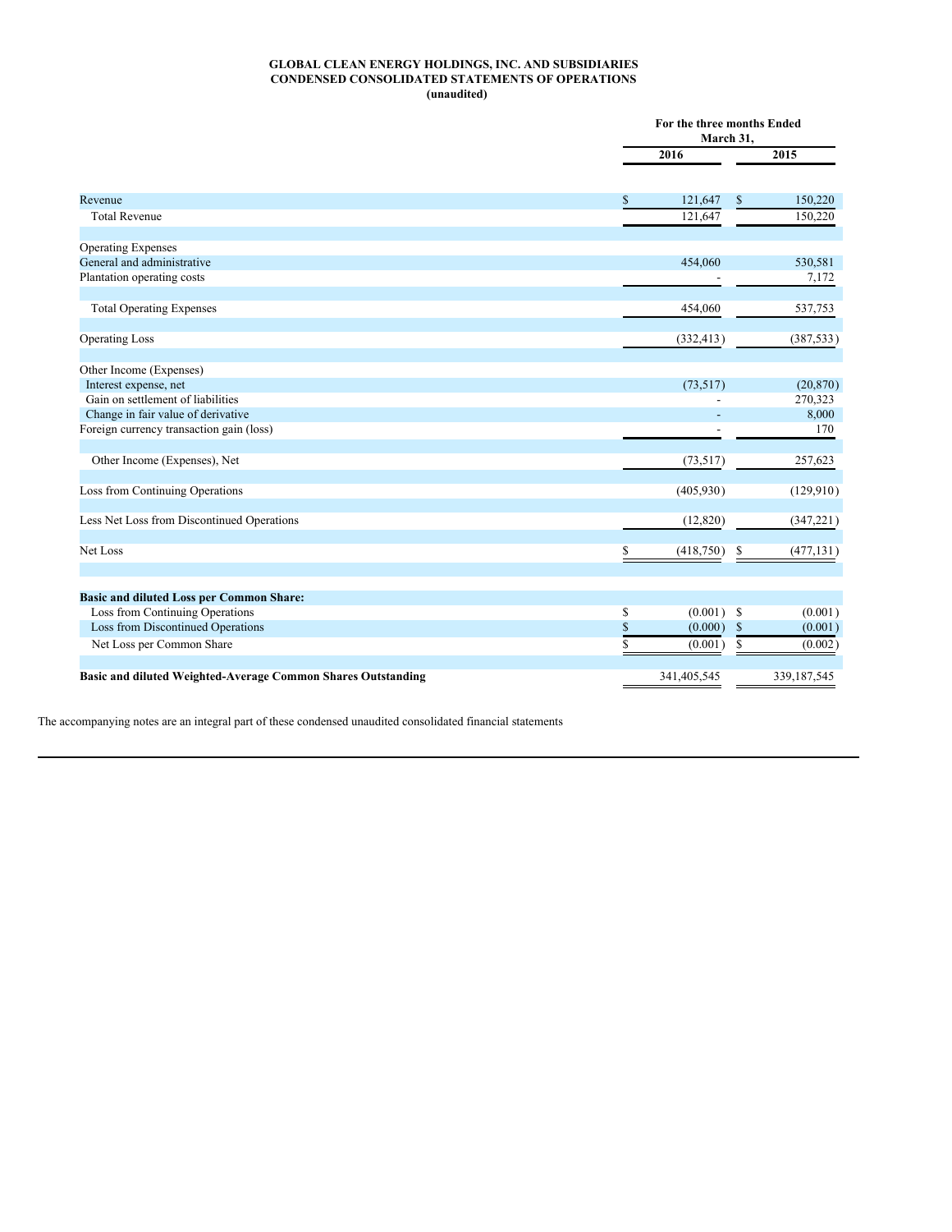### **GLOBAL CLEAN ENERGY HOLDINGS, INC. AND SUBSIDIARIES CONDENSED CONSOLIDATED STATEMENTS OF OPERATIONS (unaudited)**

|                                                              |                | For the three months Ended<br>March 31, |             |  |  |
|--------------------------------------------------------------|----------------|-----------------------------------------|-------------|--|--|
|                                                              | 2016           |                                         | 2015        |  |  |
| Revenue                                                      | \$<br>121,647  | \$                                      | 150,220     |  |  |
| <b>Total Revenue</b>                                         | 121,647        |                                         | 150,220     |  |  |
| <b>Operating Expenses</b>                                    |                |                                         |             |  |  |
| General and administrative                                   | 454,060        |                                         | 530,581     |  |  |
| Plantation operating costs                                   |                |                                         | 7,172       |  |  |
| <b>Total Operating Expenses</b>                              | 454,060        |                                         | 537,753     |  |  |
| <b>Operating Loss</b>                                        | (332, 413)     |                                         | (387, 533)  |  |  |
| Other Income (Expenses)                                      |                |                                         |             |  |  |
| Interest expense, net                                        | (73, 517)      |                                         | (20, 870)   |  |  |
| Gain on settlement of liabilities                            |                |                                         | 270,323     |  |  |
| Change in fair value of derivative                           |                |                                         | 8,000       |  |  |
| Foreign currency transaction gain (loss)                     |                |                                         | 170         |  |  |
| Other Income (Expenses), Net                                 | (73, 517)      |                                         | 257,623     |  |  |
| Loss from Continuing Operations                              | (405, 930)     |                                         | (129,910)   |  |  |
| Less Net Loss from Discontinued Operations                   | (12, 820)      |                                         | (347, 221)  |  |  |
| Net Loss                                                     | (418,750)<br>S | S                                       | (477, 131)  |  |  |
|                                                              |                |                                         |             |  |  |
| <b>Basic and diluted Loss per Common Share:</b>              |                |                                         |             |  |  |
| Loss from Continuing Operations                              | \$<br>(0.001)  | <sup>\$</sup>                           | (0.001)     |  |  |
| Loss from Discontinued Operations                            | \$<br>(0.000)  | \$                                      | (0.001)     |  |  |
| Net Loss per Common Share                                    | \$<br>(0.001)  | \$                                      | (0.002)     |  |  |
| Basic and diluted Weighted-Average Common Shares Outstanding | 341,405,545    |                                         | 339,187,545 |  |  |
|                                                              |                |                                         |             |  |  |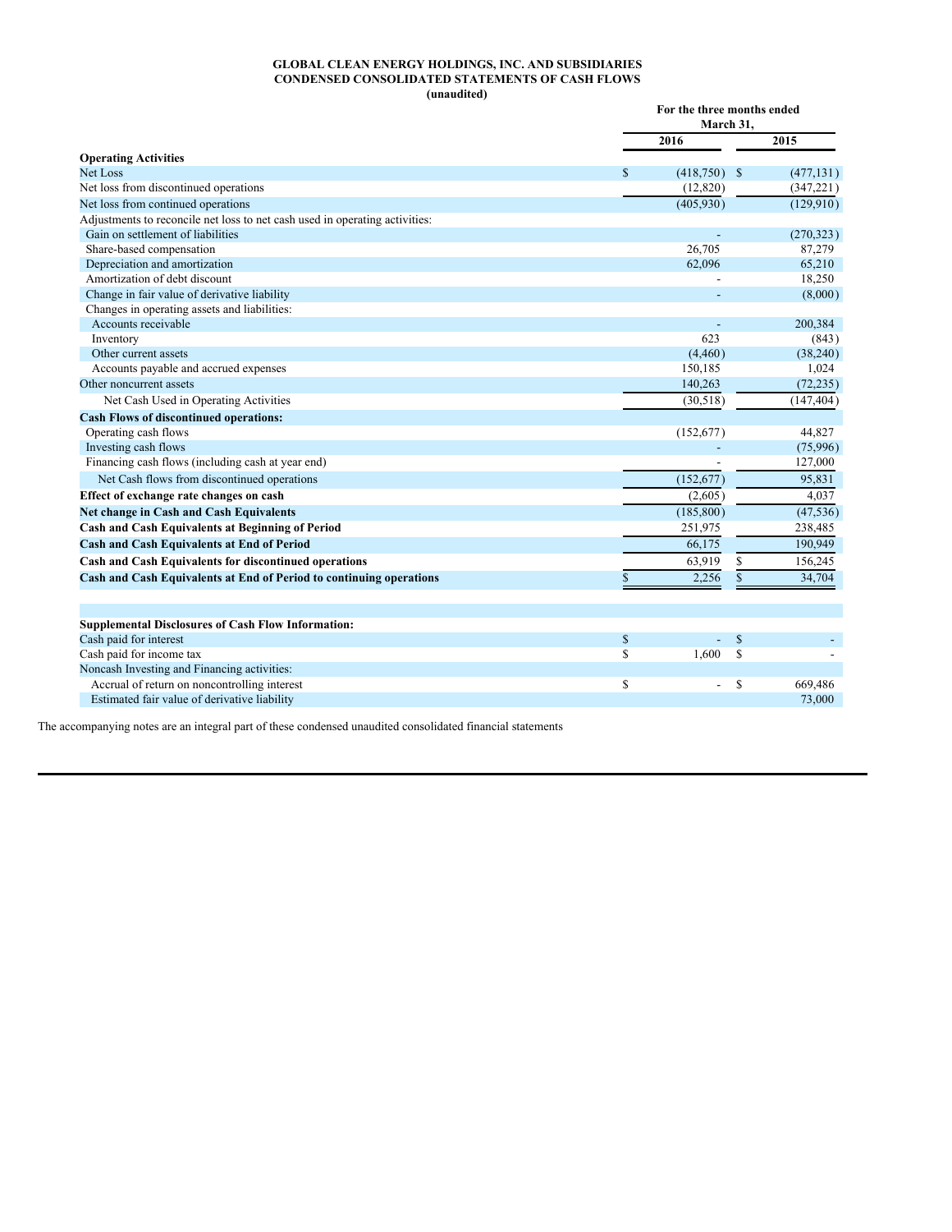### **GLOBAL CLEAN ENERGY HOLDINGS, INC. AND SUBSIDIARIES CONDENSED CONSOLIDATED STATEMENTS OF CASH FLOWS (unaudited)**

|                                                                             |    | For the three months ended<br>March 31. |              |                   |  |
|-----------------------------------------------------------------------------|----|-----------------------------------------|--------------|-------------------|--|
|                                                                             |    | 2016                                    |              | 2015              |  |
| <b>Operating Activities</b>                                                 |    |                                         |              |                   |  |
| <b>Net Loss</b>                                                             | S  | $(418,750)$ \$                          |              | (477, 131)        |  |
| Net loss from discontinued operations                                       |    | (12,820)                                |              | (347, 221)        |  |
| Net loss from continued operations                                          |    | (405, 930)                              |              | (129,910)         |  |
| Adjustments to reconcile net loss to net cash used in operating activities: |    |                                         |              |                   |  |
| Gain on settlement of liabilities                                           |    |                                         |              | (270, 323)        |  |
| Share-based compensation                                                    |    | 26,705                                  |              | 87,279            |  |
| Depreciation and amortization                                               |    | 62,096                                  |              | 65,210            |  |
| Amortization of debt discount                                               |    |                                         |              | 18,250            |  |
| Change in fair value of derivative liability                                |    |                                         |              | (8,000)           |  |
| Changes in operating assets and liabilities:                                |    |                                         |              |                   |  |
| Accounts receivable                                                         |    | 623                                     |              | 200.384           |  |
| Inventory                                                                   |    |                                         |              | (843)             |  |
| Other current assets                                                        |    | (4,460)<br>150,185                      |              | (38,240)<br>1,024 |  |
| Accounts payable and accrued expenses<br>Other noncurrent assets            |    | 140,263                                 |              |                   |  |
|                                                                             |    |                                         |              | (72, 235)         |  |
| Net Cash Used in Operating Activities                                       |    | (30, 518)                               |              | (147, 404)        |  |
| <b>Cash Flows of discontinued operations:</b>                               |    |                                         |              |                   |  |
| Operating cash flows                                                        |    | (152, 677)                              |              | 44,827            |  |
| Investing cash flows                                                        |    |                                         |              | (75,996)          |  |
| Financing cash flows (including cash at year end)                           |    |                                         |              | 127,000           |  |
| Net Cash flows from discontinued operations                                 |    | (152, 677)                              |              | 95,831            |  |
| Effect of exchange rate changes on cash                                     |    | (2,605)                                 |              | 4,037             |  |
| <b>Net change in Cash and Cash Equivalents</b>                              |    | (185, 800)                              |              | (47, 536)         |  |
| Cash and Cash Equivalents at Beginning of Period                            |    | 251,975                                 |              | 238,485           |  |
| <b>Cash and Cash Equivalents at End of Period</b>                           |    | 66,175                                  |              | 190,949           |  |
| Cash and Cash Equivalents for discontinued operations                       |    | 63,919                                  | \$           | 156,245           |  |
| Cash and Cash Equivalents at End of Period to continuing operations         | \$ | 2,256                                   | $\mathbb{S}$ | 34,704            |  |
|                                                                             |    |                                         |              |                   |  |
| <b>Supplemental Disclosures of Cash Flow Information:</b>                   |    |                                         |              |                   |  |
| Cash paid for interest                                                      | \$ | ÷.                                      | $\mathbb{S}$ |                   |  |
| Cash paid for income tax                                                    | S  | 1,600                                   | S            |                   |  |
| Noncash Investing and Financing activities:                                 |    |                                         |              |                   |  |
| Accrual of return on noncontrolling interest                                | \$ | $\overline{\phantom{a}}$                | S            | 669,486           |  |
| Estimated fair value of derivative liability                                |    |                                         |              | 73,000            |  |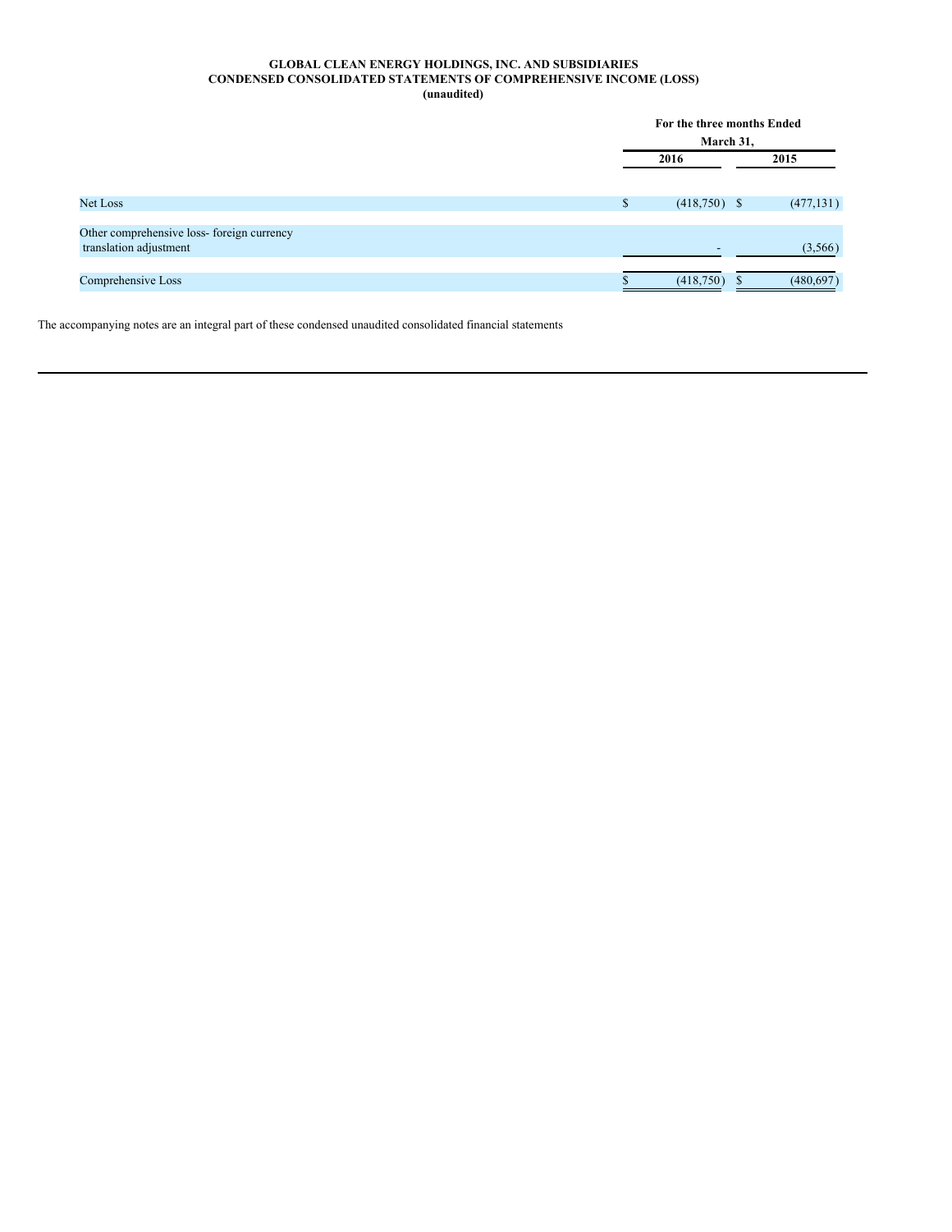### **GLOBAL CLEAN ENERGY HOLDINGS, INC. AND SUBSIDIARIES CONDENSED CONSOLIDATED STATEMENTS OF COMPREHENSIVE INCOME (LOSS) (unaudited)**

|                                                                     | For the three months Ended |  |            |  |
|---------------------------------------------------------------------|----------------------------|--|------------|--|
|                                                                     | March 31,                  |  |            |  |
|                                                                     | 2016                       |  | 2015       |  |
|                                                                     |                            |  |            |  |
| Net Loss                                                            | \$<br>$(418,750)$ \$       |  | (477, 131) |  |
|                                                                     |                            |  |            |  |
| Other comprehensive loss-foreign currency<br>translation adjustment |                            |  | (3, 566)   |  |
| Comprehensive Loss                                                  | (418,750)                  |  | (480,697)  |  |
|                                                                     |                            |  |            |  |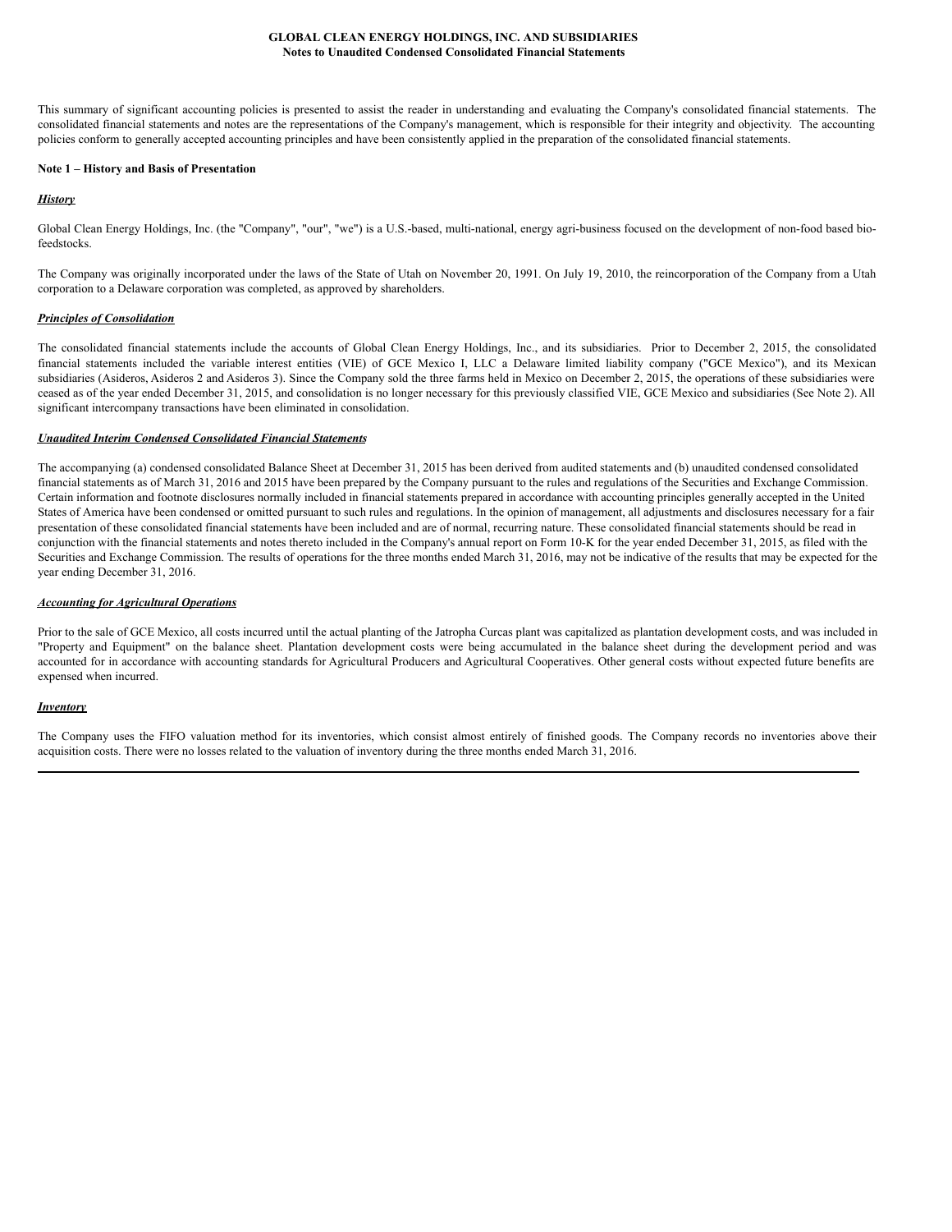This summary of significant accounting policies is presented to assist the reader in understanding and evaluating the Company's consolidated financial statements. The consolidated financial statements and notes are the representations of the Company's management, which is responsible for their integrity and objectivity. The accounting policies conform to generally accepted accounting principles and have been consistently applied in the preparation of the consolidated financial statements.

### **Note 1 – History and Basis of Presentation**

### *History*

Global Clean Energy Holdings, Inc. (the "Company", "our", "we") is a U.S.-based, multi-national, energy agri-business focused on the development of non-food based biofeedstocks.

The Company was originally incorporated under the laws of the State of Utah on November 20, 1991. On July 19, 2010, the reincorporation of the Company from a Utah corporation to a Delaware corporation was completed, as approved by shareholders.

### *Principles of Consolidation*

The consolidated financial statements include the accounts of Global Clean Energy Holdings, Inc., and its subsidiaries. Prior to December 2, 2015, the consolidated financial statements included the variable interest entities (VIE) of GCE Mexico I, LLC a Delaware limited liability company ("GCE Mexico"), and its Mexican subsidiaries (Asideros, Asideros 2 and Asideros 3). Since the Company sold the three farms held in Mexico on December 2, 2015, the operations of these subsidiaries were ceased as of the year ended December 31, 2015, and consolidation is no longer necessary for this previously classified VIE, GCE Mexico and subsidiaries (See Note 2). All significant intercompany transactions have been eliminated in consolidation.

### *Unaudited Interim Condensed Consolidated Financial Statements*

The accompanying (a) condensed consolidated Balance Sheet at December 31, 2015 has been derived from audited statements and (b) unaudited condensed consolidated financial statements as of March 31, 2016 and 2015 have been prepared by the Company pursuant to the rules and regulations of the Securities and Exchange Commission. Certain information and footnote disclosures normally included in financial statements prepared in accordance with accounting principles generally accepted in the United States of America have been condensed or omitted pursuant to such rules and regulations. In the opinion of management, all adjustments and disclosures necessary for a fair presentation of these consolidated financial statements have been included and are of normal, recurring nature. These consolidated financial statements should be read in conjunction with the financial statements and notes thereto included in the Company's annual report on Form 10-K for the year ended December 31, 2015, as filed with the Securities and Exchange Commission. The results of operations for the three months ended March 31, 2016, may not be indicative of the results that may be expected for the year ending December 31, 2016.

### *Accounting for Agricultural Operations*

Prior to the sale of GCE Mexico, all costs incurred until the actual planting of the Jatropha Curcas plant was capitalized as plantation development costs, and was included in "Property and Equipment" on the balance sheet. Plantation development costs were being accumulated in the balance sheet during the development period and was accounted for in accordance with accounting standards for Agricultural Producers and Agricultural Cooperatives. Other general costs without expected future benefits are expensed when incurred.

### *Inventory*

The Company uses the FIFO valuation method for its inventories, which consist almost entirely of finished goods. The Company records no inventories above their acquisition costs. There were no losses related to the valuation of inventory during the three months ended March 31, 2016.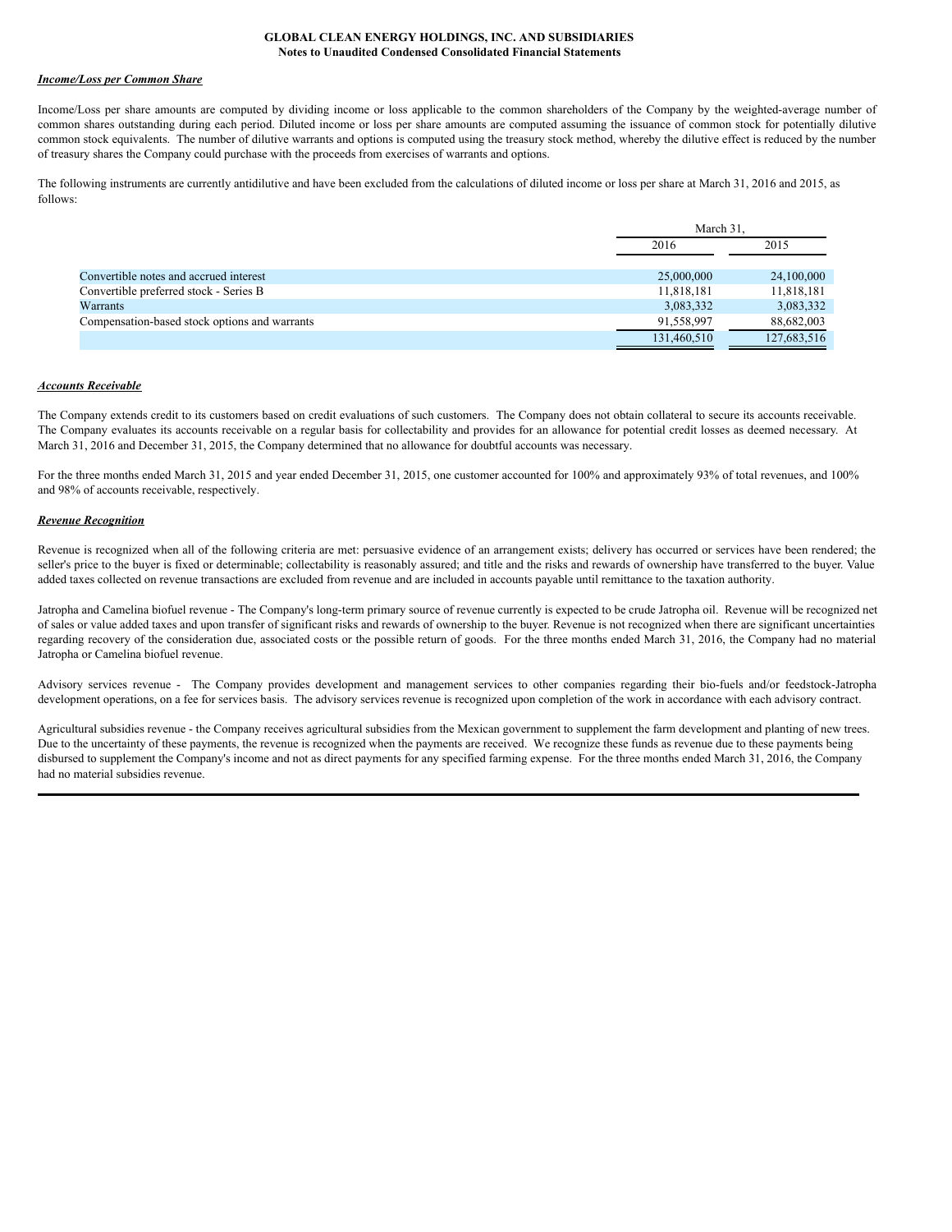#### *Income/Loss per Common Share*

Income/Loss per share amounts are computed by dividing income or loss applicable to the common shareholders of the Company by the weighted-average number of common shares outstanding during each period. Diluted income or loss per share amounts are computed assuming the issuance of common stock for potentially dilutive common stock equivalents. The number of dilutive warrants and options is computed using the treasury stock method, whereby the dilutive effect is reduced by the number of treasury shares the Company could purchase with the proceeds from exercises of warrants and options.

The following instruments are currently antidilutive and have been excluded from the calculations of diluted income or loss per share at March 31, 2016 and 2015, as follows:

|                                               | March 31.   |             |
|-----------------------------------------------|-------------|-------------|
|                                               | 2016        | 2015        |
|                                               |             |             |
| Convertible notes and accrued interest        | 25,000,000  | 24,100,000  |
| Convertible preferred stock - Series B        | 11,818,181  | 11,818,181  |
| Warrants                                      | 3,083,332   | 3,083,332   |
| Compensation-based stock options and warrants | 91,558,997  | 88,682,003  |
|                                               | 131,460,510 | 127,683,516 |

### *Accounts Receivable*

The Company extends credit to its customers based on credit evaluations of such customers. The Company does not obtain collateral to secure its accounts receivable. The Company evaluates its accounts receivable on a regular basis for collectability and provides for an allowance for potential credit losses as deemed necessary. At March 31, 2016 and December 31, 2015, the Company determined that no allowance for doubtful accounts was necessary.

For the three months ended March 31, 2015 and year ended December 31, 2015, one customer accounted for 100% and approximately 93% of total revenues, and 100% and 98% of accounts receivable, respectively.

### *Revenue Recognition*

Revenue is recognized when all of the following criteria are met: persuasive evidence of an arrangement exists; delivery has occurred or services have been rendered; the seller's price to the buyer is fixed or determinable; collectability is reasonably assured; and title and the risks and rewards of ownership have transferred to the buyer. Value added taxes collected on revenue transactions are excluded from revenue and are included in accounts payable until remittance to the taxation authority.

Jatropha and Camelina biofuel revenue - The Company's long-term primary source of revenue currently is expected to be crude Jatropha oil. Revenue will be recognized net of sales or value added taxes and upon transfer of significant risks and rewards of ownership to the buyer. Revenue is not recognized when there are significant uncertainties regarding recovery of the consideration due, associated costs or the possible return of goods. For the three months ended March 31, 2016, the Company had no material Jatropha or Camelina biofuel revenue.

Advisory services revenue - The Company provides development and management services to other companies regarding their bio-fuels and/or feedstock-Jatropha development operations, on a fee for services basis. The advisory services revenue is recognized upon completion of the work in accordance with each advisory contract.

Agricultural subsidies revenue - the Company receives agricultural subsidies from the Mexican government to supplement the farm development and planting of new trees. Due to the uncertainty of these payments, the revenue is recognized when the payments are received. We recognize these funds as revenue due to these payments being disbursed to supplement the Company's income and not as direct payments for any specified farming expense. For the three months ended March 31, 2016, the Company had no material subsidies revenue.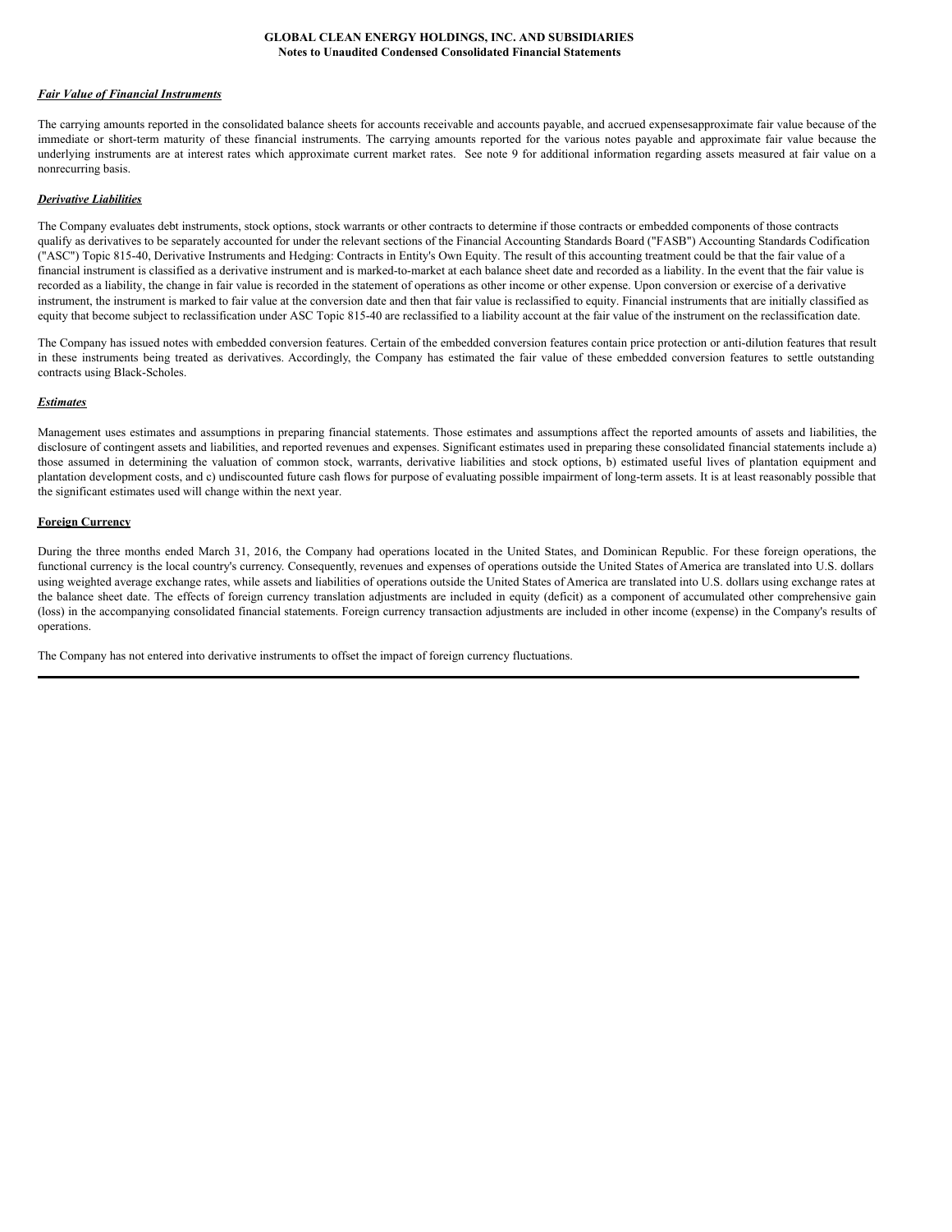### *Fair Value of Financial Instruments*

The carrying amounts reported in the consolidated balance sheets for accounts receivable and accounts payable, and accrued expensesapproximate fair value because of the immediate or short-term maturity of these financial instruments. The carrying amounts reported for the various notes payable and approximate fair value because the underlying instruments are at interest rates which approximate current market rates. See note 9 for additional information regarding assets measured at fair value on a nonrecurring basis.

### *Derivative Liabilities*

The Company evaluates debt instruments, stock options, stock warrants or other contracts to determine if those contracts or embedded components of those contracts qualify as derivatives to be separately accounted for under the relevant sections of the Financial Accounting Standards Board ("FASB") Accounting Standards Codification ("ASC") Topic 815-40, Derivative Instruments and Hedging: Contracts in Entity's Own Equity. The result of this accounting treatment could be that the fair value of a financial instrument is classified as a derivative instrument and is marked-to-market at each balance sheet date and recorded as a liability. In the event that the fair value is recorded as a liability, the change in fair value is recorded in the statement of operations as other income or other expense. Upon conversion or exercise of a derivative instrument, the instrument is marked to fair value at the conversion date and then that fair value is reclassified to equity. Financial instruments that are initially classified as equity that become subject to reclassification under ASC Topic 815-40 are reclassified to a liability account at the fair value of the instrument on the reclassification date.

The Company has issued notes with embedded conversion features. Certain of the embedded conversion features contain price protection or anti-dilution features that result in these instruments being treated as derivatives. Accordingly, the Company has estimated the fair value of these embedded conversion features to settle outstanding contracts using Black-Scholes.

#### *Estimates*

Management uses estimates and assumptions in preparing financial statements. Those estimates and assumptions affect the reported amounts of assets and liabilities, the disclosure of contingent assets and liabilities, and reported revenues and expenses. Significant estimates used in preparing these consolidated financial statements include a) those assumed in determining the valuation of common stock, warrants, derivative liabilities and stock options, b) estimated useful lives of plantation equipment and plantation development costs, and c) undiscounted future cash flows for purpose of evaluating possible impairment of long-term assets. It is at least reasonably possible that the significant estimates used will change within the next year.

#### **Foreign Currency**

During the three months ended March 31, 2016, the Company had operations located in the United States, and Dominican Republic. For these foreign operations, the functional currency is the local country's currency. Consequently, revenues and expenses of operations outside the United States of America are translated into U.S. dollars using weighted average exchange rates, while assets and liabilities of operations outside the United States of America are translated into U.S. dollars using exchange rates at the balance sheet date. The effects of foreign currency translation adjustments are included in equity (deficit) as a component of accumulated other comprehensive gain (loss) in the accompanying consolidated financial statements. Foreign currency transaction adjustments are included in other income (expense) in the Company's results of operations.

The Company has not entered into derivative instruments to offset the impact of foreign currency fluctuations.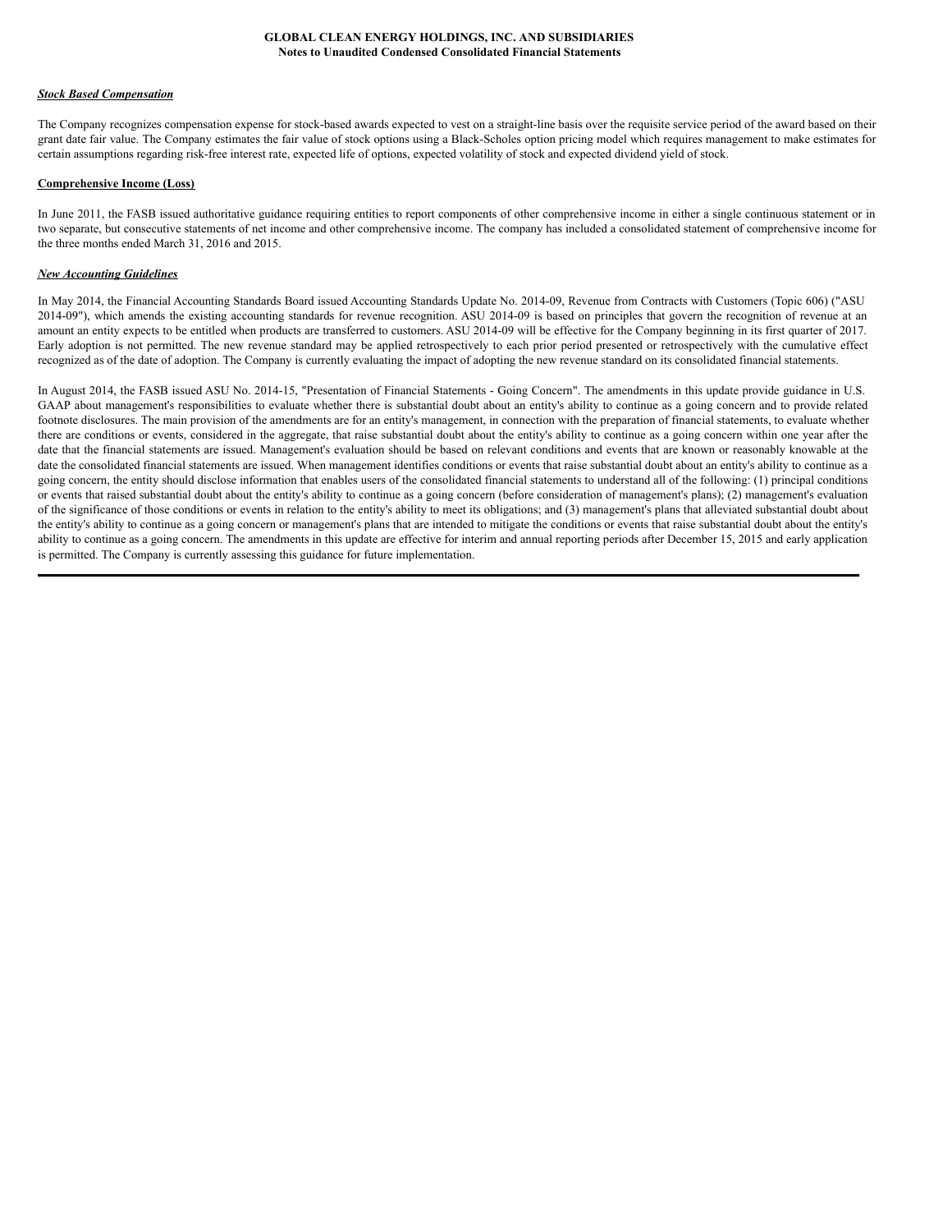### *Stock Based Compensation*

The Company recognizes compensation expense for stock-based awards expected to vest on a straight-line basis over the requisite service period of the award based on their grant date fair value. The Company estimates the fair value of stock options using a Black-Scholes option pricing model which requires management to make estimates for certain assumptions regarding risk-free interest rate, expected life of options, expected volatility of stock and expected dividend yield of stock.

#### **Comprehensive Income (Loss)**

In June 2011, the FASB issued authoritative guidance requiring entities to report components of other comprehensive income in either a single continuous statement or in two separate, but consecutive statements of net income and other comprehensive income. The company has included a consolidated statement of comprehensive income for the three months ended March 31, 2016 and 2015.

#### *New Accounting Guidelines*

In May 2014, the Financial Accounting Standards Board issued Accounting Standards Update No. 2014-09, Revenue from Contracts with Customers (Topic 606) ("ASU 2014-09"), which amends the existing accounting standards for revenue recognition. ASU 2014-09 is based on principles that govern the recognition of revenue at an amount an entity expects to be entitled when products are transferred to customers. ASU 2014-09 will be effective for the Company beginning in its first quarter of 2017. Early adoption is not permitted. The new revenue standard may be applied retrospectively to each prior period presented or retrospectively with the cumulative effect recognized as of the date of adoption. The Company is currently evaluating the impact of adopting the new revenue standard on its consolidated financial statements.

In August 2014, the FASB issued ASU No. 2014-15, "Presentation of Financial Statements - Going Concern". The amendments in this update provide guidance in U.S. GAAP about management's responsibilities to evaluate whether there is substantial doubt about an entity's ability to continue as a going concern and to provide related footnote disclosures. The main provision of the amendments are for an entity's management, in connection with the preparation of financial statements, to evaluate whether there are conditions or events, considered in the aggregate, that raise substantial doubt about the entity's ability to continue as a going concern within one year after the date that the financial statements are issued. Management's evaluation should be based on relevant conditions and events that are known or reasonably knowable at the date the consolidated financial statements are issued. When management identifies conditions or events that raise substantial doubt about an entity's ability to continue as a going concern, the entity should disclose information that enables users of the consolidated financial statements to understand all of the following: (1) principal conditions or events that raised substantial doubt about the entity's ability to continue as a going concern (before consideration of management's plans); (2) management's evaluation of the significance of those conditions or events in relation to the entity's ability to meet its obligations; and (3) management's plans that alleviated substantial doubt about the entity's ability to continue as a going concern or management's plans that are intended to mitigate the conditions or events that raise substantial doubt about the entity's ability to continue as a going concern. The amendments in this update are effective for interim and annual reporting periods after December 15, 2015 and early application is permitted. The Company is currently assessing this guidance for future implementation.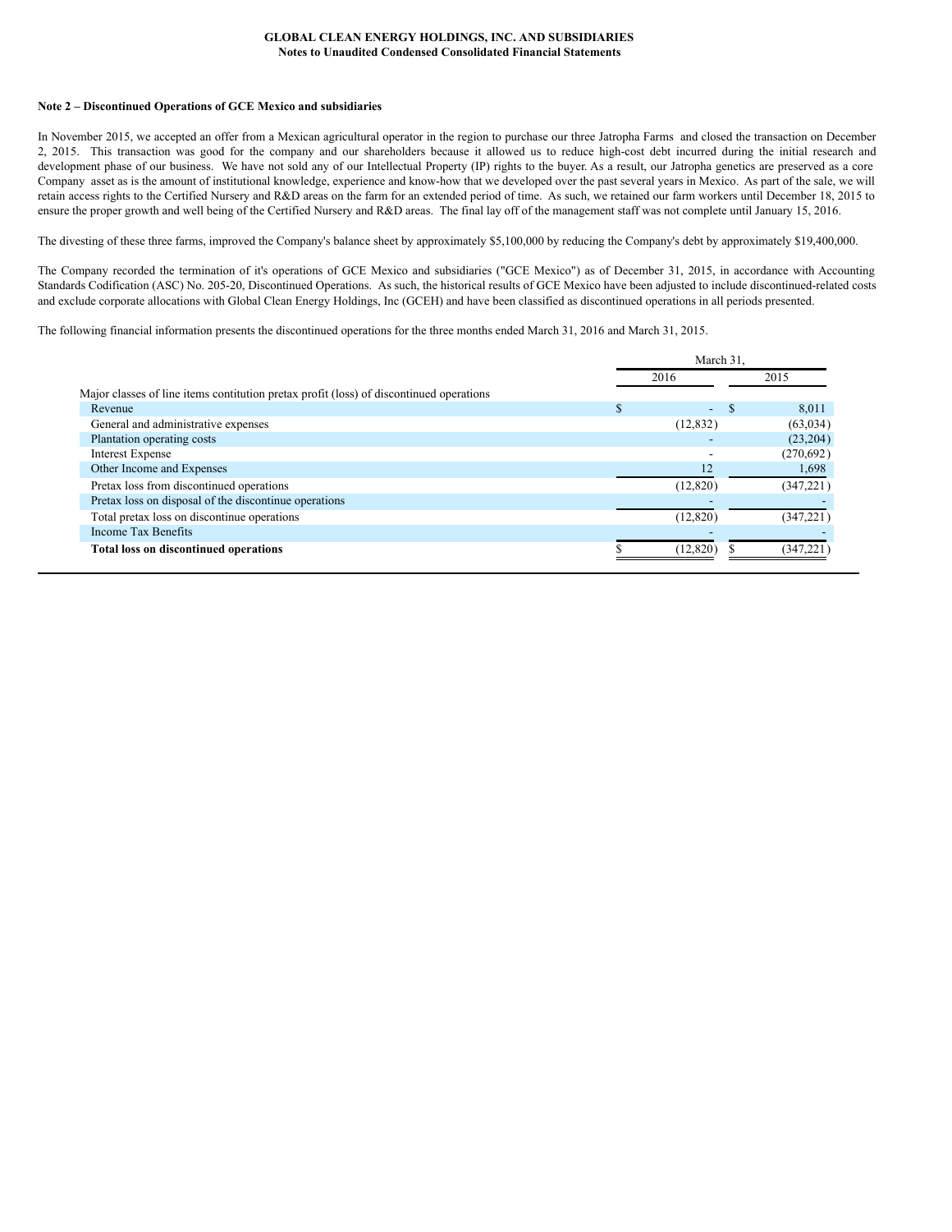### **Note 2 – Discontinued Operations of GCE Mexico and subsidiaries**

In November 2015, we accepted an offer from a Mexican agricultural operator in the region to purchase our three Jatropha Farms and closed the transaction on December 2, 2015. This transaction was good for the company and our shareholders because it allowed us to reduce high-cost debt incurred during the initial research and development phase of our business. We have not sold any of our Intellectual Property (IP) rights to the buyer. As a result, our Jatropha genetics are preserved as a core Company asset as is the amount of institutional knowledge, experience and know-how that we developed over the past several years in Mexico. As part of the sale, we will retain access rights to the Certified Nursery and R&D areas on the farm for an extended period of time. As such, we retained our farm workers until December 18, 2015 to ensure the proper growth and well being of the Certified Nursery and R&D areas. The final lay off of the management staff was not complete until January 15, 2016.

The divesting of these three farms, improved the Company's balance sheet by approximately \$5,100,000 by reducing the Company's debt by approximately \$19,400,000.

The Company recorded the termination of it's operations of GCE Mexico and subsidiaries ("GCE Mexico") as of December 31, 2015, in accordance with Accounting Standards Codification (ASC) No. 205-20, Discontinued Operations. As such, the historical results of GCE Mexico have been adjusted to include discontinued-related costs and exclude corporate allocations with Global Clean Energy Holdings, Inc (GCEH) and have been classified as discontinued operations in all periods presented.

The following financial information presents the discontinued operations for the three months ended March 31, 2016 and March 31, 2015.

|                                                                                         | March 31. |                          |          |            |
|-----------------------------------------------------------------------------------------|-----------|--------------------------|----------|------------|
|                                                                                         |           | 2016                     |          | 2015       |
| Major classes of line items contitution pretax profit (loss) of discontinued operations |           |                          |          |            |
| Revenue                                                                                 | S         | ٠                        | <b>S</b> | 8,011      |
| General and administrative expenses                                                     |           | (12, 832)                |          | (63, 034)  |
| Plantation operating costs                                                              |           | $\overline{\phantom{0}}$ |          | (23, 204)  |
| <b>Interest Expense</b>                                                                 |           |                          |          | (270,692)  |
| Other Income and Expenses                                                               |           | 12                       |          | 1,698      |
| Pretax loss from discontinued operations                                                |           | (12, 820)                |          | (347, 221) |
| Pretax loss on disposal of the discontinue operations                                   |           |                          |          |            |
| Total pretax loss on discontinue operations                                             |           | (12, 820)                |          | (347, 221) |
| Income Tax Benefits                                                                     |           |                          |          |            |
| <b>Total loss on discontinued operations</b>                                            |           | (12, 820)                |          | (347,221   |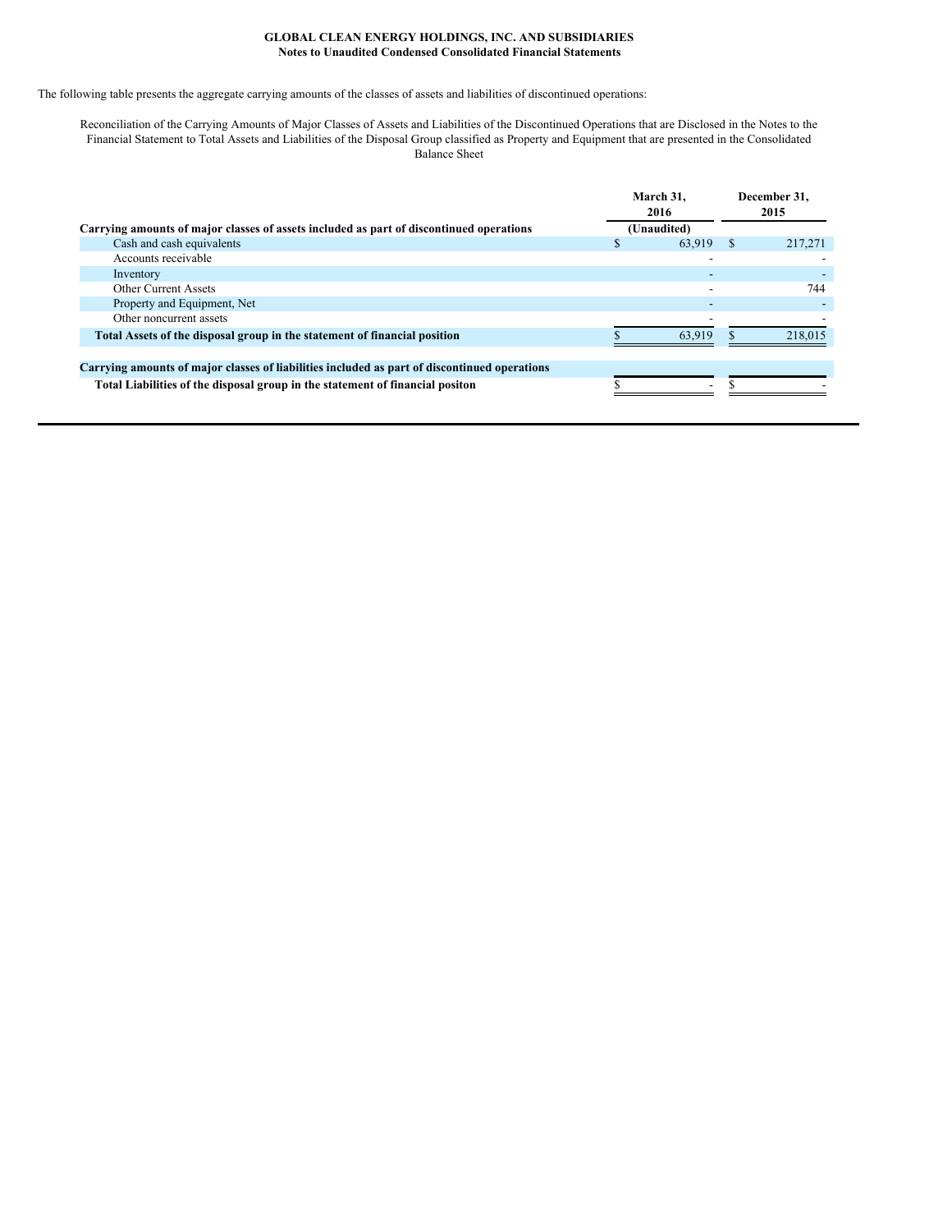The following table presents the aggregate carrying amounts of the classes of assets and liabilities of discontinued operations:

Reconciliation of the Carrying Amounts of Major Classes of Assets and Liabilities of the Discontinued Operations that are Disclosed in the Notes to the Financial Statement to Total Assets and Liabilities of the Disposal Group classified as Property and Equipment that are presented in the Consolidated Balance Sheet

|                                                                                              | March 31.<br>2016 |                          |    | December 31.<br>2015 |
|----------------------------------------------------------------------------------------------|-------------------|--------------------------|----|----------------------|
| Carrying amounts of major classes of assets included as part of discontinued operations      |                   | (Unaudited)              |    |                      |
| Cash and cash equivalents                                                                    |                   | 63.919                   | -S | 217,271              |
| Accounts receivable                                                                          |                   |                          |    |                      |
| Inventory                                                                                    |                   | $\overline{\phantom{a}}$ |    |                      |
| <b>Other Current Assets</b>                                                                  |                   | $\overline{\phantom{a}}$ |    | 744                  |
| Property and Equipment, Net                                                                  |                   | $\overline{\phantom{a}}$ |    |                      |
| Other noncurrent assets                                                                      |                   |                          |    |                      |
| Total Assets of the disposal group in the statement of financial position                    |                   | 63.919                   |    | 218,015              |
| Carrying amounts of major classes of liabilities included as part of discontinued operations |                   |                          |    |                      |
| Total Liabilities of the disposal group in the statement of financial positon                |                   |                          |    |                      |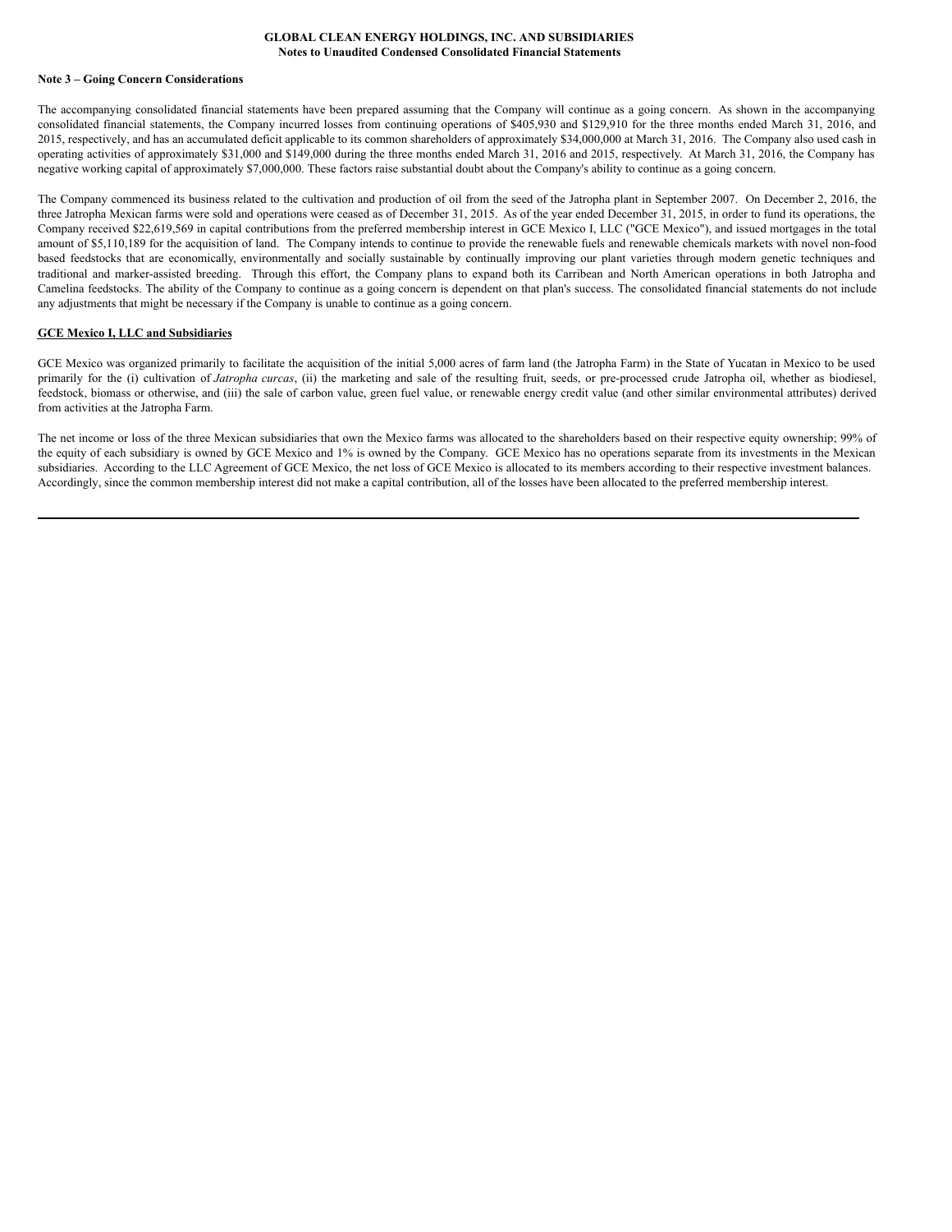#### **Note 3 – Going Concern Considerations**

The accompanying consolidated financial statements have been prepared assuming that the Company will continue as a going concern. As shown in the accompanying consolidated financial statements, the Company incurred losses from continuing operations of \$405,930 and \$129,910 for the three months ended March 31, 2016, and 2015, respectively, and has an accumulated deficit applicable to its common shareholders of approximately \$34,000,000 at March 31, 2016. The Company also used cash in operating activities of approximately \$31,000 and \$149,000 during the three months ended March 31, 2016 and 2015, respectively. At March 31, 2016, the Company has negative working capital of approximately \$7,000,000. These factors raise substantial doubt about the Company's ability to continue as a going concern.

The Company commenced its business related to the cultivation and production of oil from the seed of the Jatropha plant in September 2007. On December 2, 2016, the three Jatropha Mexican farms were sold and operations were ceased as of December 31, 2015. As of the year ended December 31, 2015, in order to fund its operations, the Company received \$22,619,569 in capital contributions from the preferred membership interest in GCE Mexico I, LLC ("GCE Mexico"), and issued mortgages in the total amount of \$5,110,189 for the acquisition of land. The Company intends to continue to provide the renewable fuels and renewable chemicals markets with novel non-food based feedstocks that are economically, environmentally and socially sustainable by continually improving our plant varieties through modern genetic techniques and traditional and marker-assisted breeding. Through this effort, the Company plans to expand both its Carribean and North American operations in both Jatropha and Camelina feedstocks. The ability of the Company to continue as a going concern is dependent on that plan's success. The consolidated financial statements do not include any adjustments that might be necessary if the Company is unable to continue as a going concern.

### **GCE Mexico I, LLC and Subsidiaries**

GCE Mexico was organized primarily to facilitate the acquisition of the initial 5,000 acres of farm land (the Jatropha Farm) in the State of Yucatan in Mexico to be used primarily for the (i) cultivation of *Jatropha curcas*, (ii) the marketing and sale of the resulting fruit, seeds, or pre-processed crude Jatropha oil, whether as biodiesel, feedstock, biomass or otherwise, and (iii) the sale of carbon value, green fuel value, or renewable energy credit value (and other similar environmental attributes) derived from activities at the Jatropha Farm.

The net income or loss of the three Mexican subsidiaries that own the Mexico farms was allocated to the shareholders based on their respective equity ownership; 99% of the equity of each subsidiary is owned by GCE Mexico and 1% is owned by the Company. GCE Mexico has no operations separate from its investments in the Mexican subsidiaries. According to the LLC Agreement of GCE Mexico, the net loss of GCE Mexico is allocated to its members according to their respective investment balances. Accordingly, since the common membership interest did not make a capital contribution, all of the losses have been allocated to the preferred membership interest.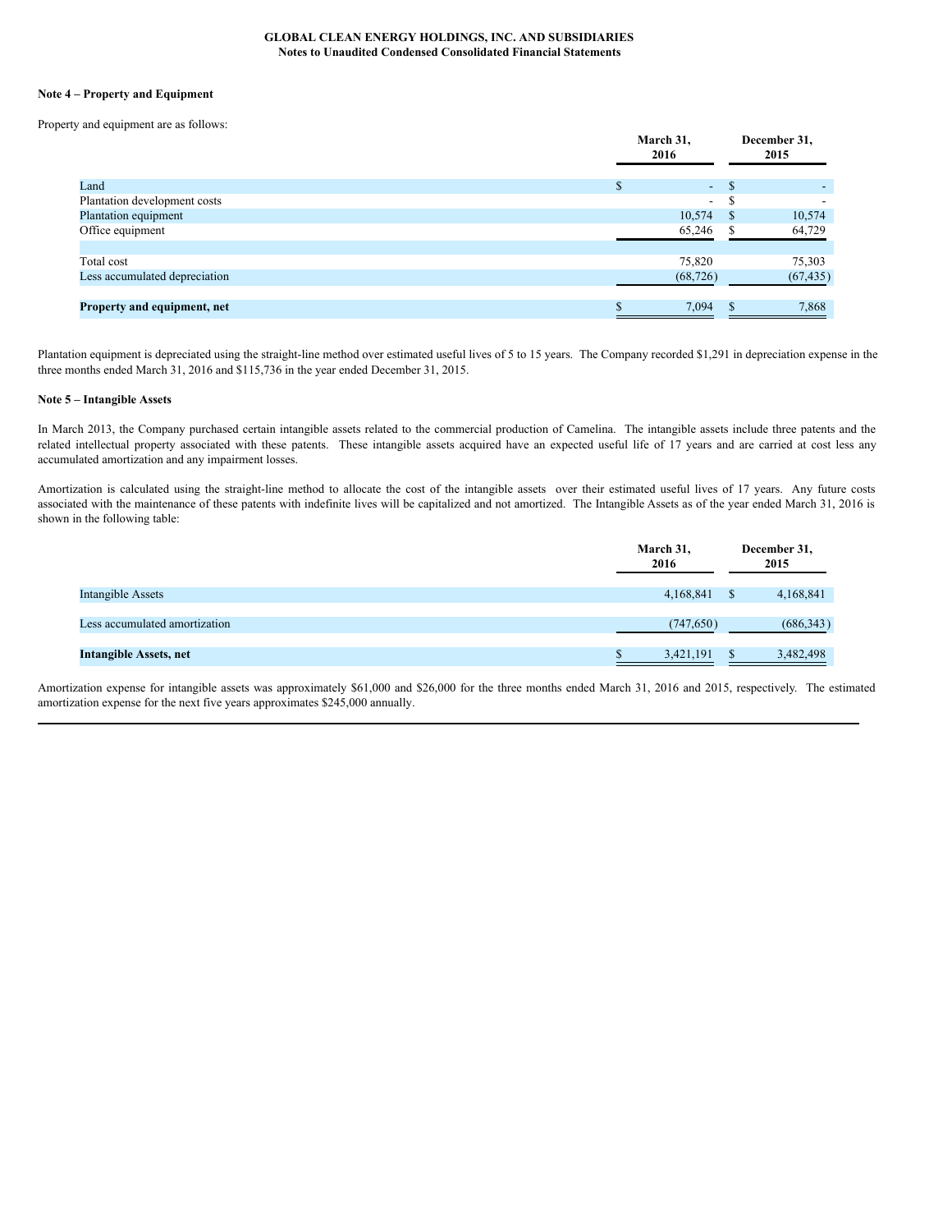#### **Note 4 – Property and Equipment**

Property and equipment are as follows:

|                               | March 31,<br>2016        |              | December 31,<br>2015 |  |
|-------------------------------|--------------------------|--------------|----------------------|--|
| Land                          | \$<br>$\sim$             | \$           |                      |  |
| Plantation development costs  | $\overline{\phantom{a}}$ | ъ            |                      |  |
| Plantation equipment          | 10,574                   | <sup>8</sup> | 10,574               |  |
| Office equipment              | 65,246                   |              | 64,729               |  |
|                               |                          |              |                      |  |
| Total cost                    | 75,820                   |              | 75,303               |  |
| Less accumulated depreciation | (68, 726)                |              | (67, 435)            |  |
| Property and equipment, net   | 7.094                    |              | 7,868                |  |

Plantation equipment is depreciated using the straight-line method over estimated useful lives of 5 to 15 years. The Company recorded \$1,291 in depreciation expense in the three months ended March 31, 2016 and \$115,736 in the year ended December 31, 2015.

### **Note 5 – Intangible Assets**

In March 2013, the Company purchased certain intangible assets related to the commercial production of Camelina. The intangible assets include three patents and the related intellectual property associated with these patents. These intangible assets acquired have an expected useful life of 17 years and are carried at cost less any accumulated amortization and any impairment losses.

Amortization is calculated using the straight-line method to allocate the cost of the intangible assets over their estimated useful lives of 17 years. Any future costs associated with the maintenance of these patents with indefinite lives will be capitalized and not amortized. The Intangible Assets as of the year ended March 31, 2016 is shown in the following table:

|                               | March 31,<br>2016 |              | December 31,<br>2015 |
|-------------------------------|-------------------|--------------|----------------------|
| Intangible Assets             | 4,168,841         | -S           | 4,168,841            |
| Less accumulated amortization | (747, 650)        |              | (686,343)            |
| <b>Intangible Assets, net</b> | 3,421,191         | <sup>S</sup> | 3,482,498            |

Amortization expense for intangible assets was approximately \$61,000 and \$26,000 for the three months ended March 31, 2016 and 2015, respectively. The estimated amortization expense for the next five years approximates \$245,000 annually.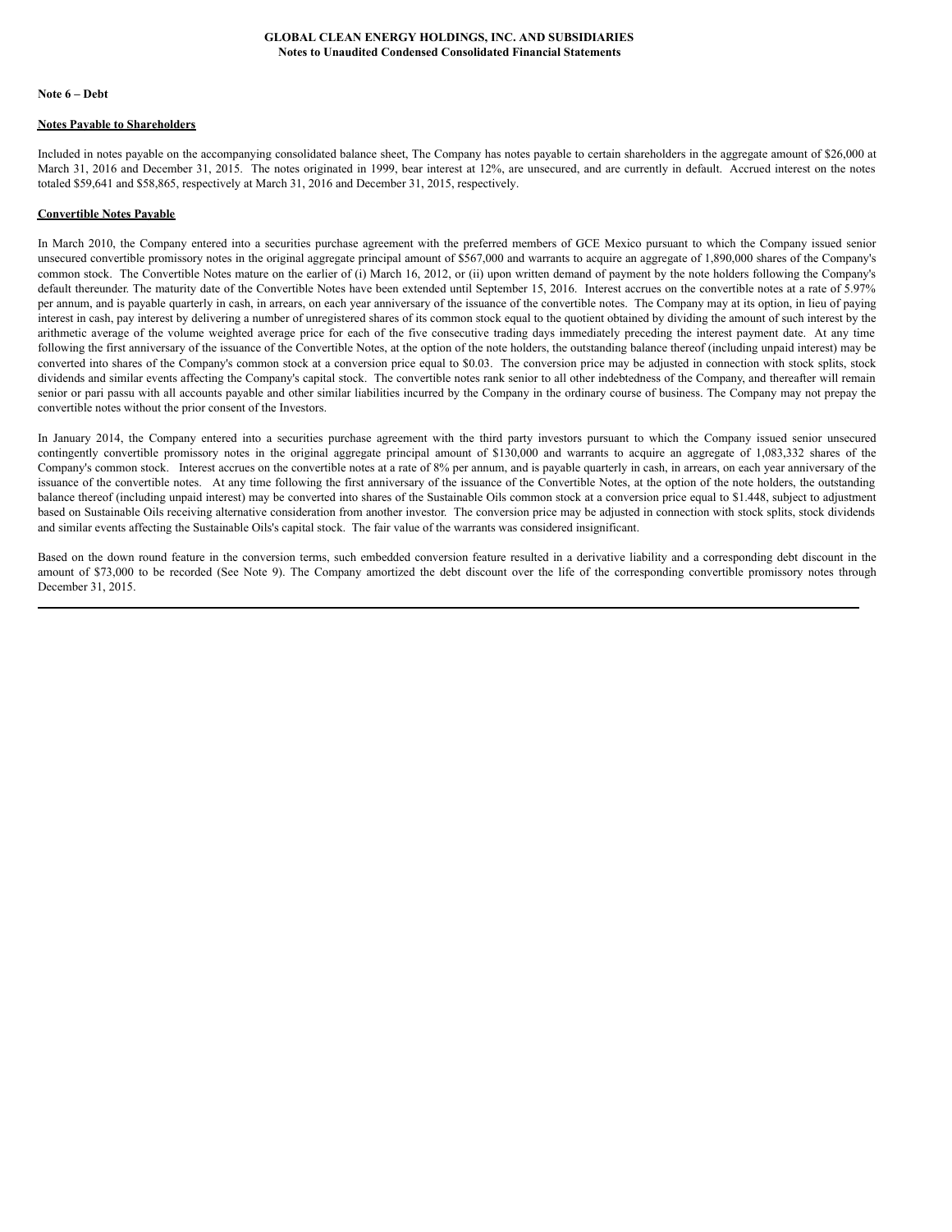#### **Note 6 – Debt**

### **Notes Payable to Shareholders**

Included in notes payable on the accompanying consolidated balance sheet, The Company has notes payable to certain shareholders in the aggregate amount of \$26,000 at March 31, 2016 and December 31, 2015. The notes originated in 1999, bear interest at 12%, are unsecured, and are currently in default. Accrued interest on the notes totaled \$59,641 and \$58,865, respectively at March 31, 2016 and December 31, 2015, respectively.

### **Convertible Notes Payable**

In March 2010, the Company entered into a securities purchase agreement with the preferred members of GCE Mexico pursuant to which the Company issued senior unsecured convertible promissory notes in the original aggregate principal amount of \$567,000 and warrants to acquire an aggregate of 1,890,000 shares of the Company's common stock. The Convertible Notes mature on the earlier of (i) March 16, 2012, or (ii) upon written demand of payment by the note holders following the Company's default thereunder. The maturity date of the Convertible Notes have been extended until September 15, 2016. Interest accrues on the convertible notes at a rate of 5.97% per annum, and is payable quarterly in cash, in arrears, on each year anniversary of the issuance of the convertible notes. The Company may at its option, in lieu of paying interest in cash, pay interest by delivering a number of unregistered shares of its common stock equal to the quotient obtained by dividing the amount of such interest by the arithmetic average of the volume weighted average price for each of the five consecutive trading days immediately preceding the interest payment date. At any time following the first anniversary of the issuance of the Convertible Notes, at the option of the note holders, the outstanding balance thereof (including unpaid interest) may be converted into shares of the Company's common stock at a conversion price equal to \$0.03. The conversion price may be adjusted in connection with stock splits, stock dividends and similar events affecting the Company's capital stock. The convertible notes rank senior to all other indebtedness of the Company, and thereafter will remain senior or pari passu with all accounts payable and other similar liabilities incurred by the Company in the ordinary course of business. The Company may not prepay the convertible notes without the prior consent of the Investors.

In January 2014, the Company entered into a securities purchase agreement with the third party investors pursuant to which the Company issued senior unsecured contingently convertible promissory notes in the original aggregate principal amount of \$130,000 and warrants to acquire an aggregate of 1,083,332 shares of the Company's common stock. Interest accrues on the convertible notes at a rate of 8% per annum, and is payable quarterly in cash, in arrears, on each year anniversary of the issuance of the convertible notes. At any time following the first anniversary of the issuance of the Convertible Notes, at the option of the note holders, the outstanding balance thereof (including unpaid interest) may be converted into shares of the Sustainable Oils common stock at a conversion price equal to \$1.448, subject to adjustment based on Sustainable Oils receiving alternative consideration from another investor. The conversion price may be adjusted in connection with stock splits, stock dividends and similar events affecting the Sustainable Oils's capital stock. The fair value of the warrants was considered insignificant.

Based on the down round feature in the conversion terms, such embedded conversion feature resulted in a derivative liability and a corresponding debt discount in the amount of \$73,000 to be recorded (See Note 9). The Company amortized the debt discount over the life of the corresponding convertible promissory notes through December 31, 2015.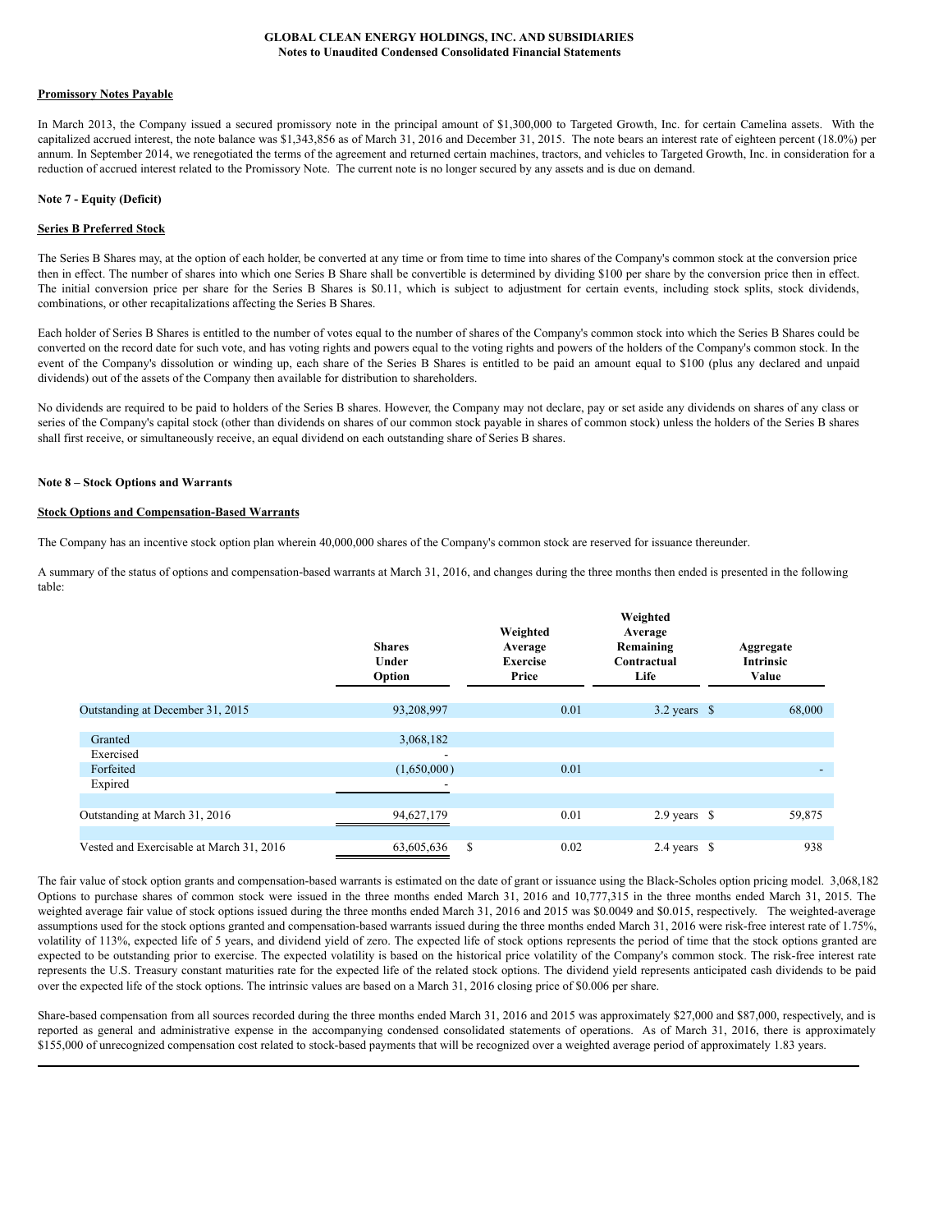### **Promissory Notes Payable**

In March 2013, the Company issued a secured promissory note in the principal amount of \$1,300,000 to Targeted Growth, Inc. for certain Camelina assets. With the capitalized accrued interest, the note balance was \$1,343,856 as of March 31, 2016 and December 31, 2015. The note bears an interest rate of eighteen percent (18.0%) per annum. In September 2014, we renegotiated the terms of the agreement and returned certain machines, tractors, and vehicles to Targeted Growth, Inc. in consideration for a reduction of accrued interest related to the Promissory Note. The current note is no longer secured by any assets and is due on demand.

### **Note 7 - Equity (Deficit)**

### **Series B Preferred Stock**

The Series B Shares may, at the option of each holder, be converted at any time or from time to time into shares of the Company's common stock at the conversion price then in effect. The number of shares into which one Series B Share shall be convertible is determined by dividing \$100 per share by the conversion price then in effect. The initial conversion price per share for the Series B Shares is \$0.11, which is subject to adjustment for certain events, including stock splits, stock dividends, combinations, or other recapitalizations affecting the Series B Shares.

Each holder of Series B Shares is entitled to the number of votes equal to the number of shares of the Company's common stock into which the Series B Shares could be converted on the record date for such vote, and has voting rights and powers equal to the voting rights and powers of the holders of the Company's common stock. In the event of the Company's dissolution or winding up, each share of the Series B Shares is entitled to be paid an amount equal to \$100 (plus any declared and unpaid dividends) out of the assets of the Company then available for distribution to shareholders.

No dividends are required to be paid to holders of the Series B shares. However, the Company may not declare, pay or set aside any dividends on shares of any class or series of the Company's capital stock (other than dividends on shares of our common stock payable in shares of common stock) unless the holders of the Series B shares shall first receive, or simultaneously receive, an equal dividend on each outstanding share of Series B shares.

#### **Note 8 – Stock Options and Warrants**

### **Stock Options and Compensation-Based Warrants**

The Company has an incentive stock option plan wherein 40,000,000 shares of the Company's common stock are reserved for issuance thereunder.

A summary of the status of options and compensation-based warrants at March 31, 2016, and changes during the three months then ended is presented in the following table:

|                                          | <b>Shares</b><br>Under<br>Option | Weighted<br>Average<br><b>Exercise</b><br>Price | Weighted<br>Average<br>Remaining<br>Contractual<br>Life | Aggregate<br><b>Intrinsic</b><br>Value |
|------------------------------------------|----------------------------------|-------------------------------------------------|---------------------------------------------------------|----------------------------------------|
| Outstanding at December 31, 2015         | 93,208,997                       | 0.01                                            | 3.2 years $\$$                                          | 68,000                                 |
| Granted                                  | 3,068,182                        |                                                 |                                                         |                                        |
| Exercised                                | $\overline{\phantom{a}}$         |                                                 |                                                         |                                        |
| Forfeited                                | (1,650,000)                      | 0.01                                            |                                                         |                                        |
| Expired                                  |                                  |                                                 |                                                         |                                        |
|                                          |                                  |                                                 |                                                         |                                        |
| Outstanding at March 31, 2016            | 94,627,179                       | 0.01                                            | $2.9$ years $$$                                         | 59,875                                 |
|                                          |                                  |                                                 |                                                         |                                        |
| Vested and Exercisable at March 31, 2016 | S<br>63,605,636                  | 0.02                                            | 2.4 years $\sqrt{s}$                                    | 938                                    |

The fair value of stock option grants and compensation-based warrants is estimated on the date of grant or issuance using the Black-Scholes option pricing model. 3,068,182 Options to purchase shares of common stock were issued in the three months ended March 31, 2016 and 10,777,315 in the three months ended March 31, 2015. The weighted average fair value of stock options issued during the three months ended March 31, 2016 and 2015 was \$0.0049 and \$0.015, respectively. The weighted-average assumptions used for the stock options granted and compensation-based warrants issued during the three months ended March 31, 2016 were risk-free interest rate of 1.75%, volatility of 113%, expected life of 5 years, and dividend yield of zero. The expected life of stock options represents the period of time that the stock options granted are expected to be outstanding prior to exercise. The expected volatility is based on the historical price volatility of the Company's common stock. The risk-free interest rate represents the U.S. Treasury constant maturities rate for the expected life of the related stock options. The dividend yield represents anticipated cash dividends to be paid over the expected life of the stock options. The intrinsic values are based on a March 31, 2016 closing price of \$0.006 per share.

Share-based compensation from all sources recorded during the three months ended March 31, 2016 and 2015 was approximately \$27,000 and \$87,000, respectively, and is reported as general and administrative expense in the accompanying condensed consolidated statements of operations. As of March 31, 2016, there is approximately \$155,000 of unrecognized compensation cost related to stock-based payments that will be recognized over a weighted average period of approximately 1.83 years.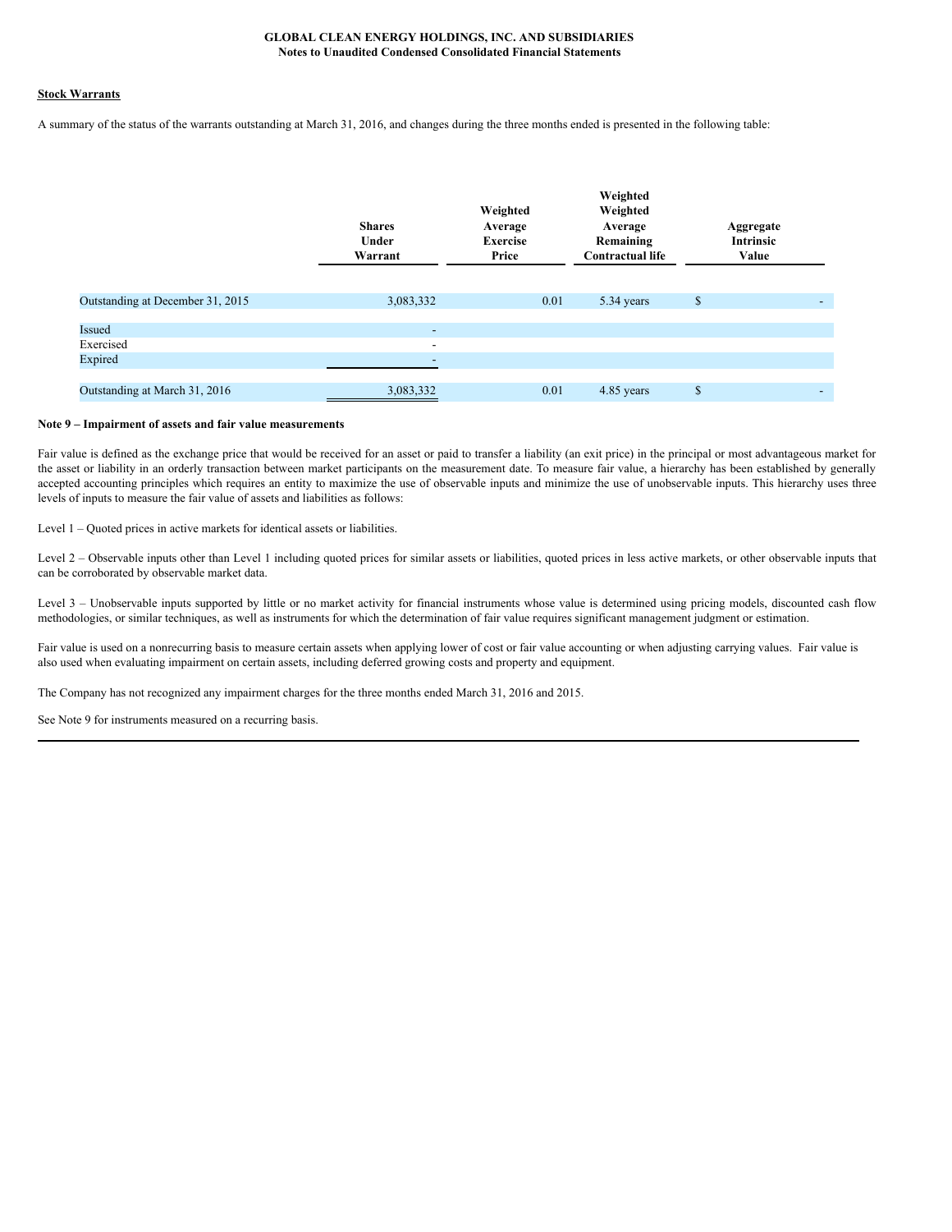### **Stock Warrants**

A summary of the status of the warrants outstanding at March 31, 2016, and changes during the three months ended is presented in the following table:

|                                  | <b>Shares</b><br>Under<br>Warrant | Weighted<br>Average<br>Exercise<br>Price | Weighted<br>Weighted<br>Average<br>Remaining<br><b>Contractual life</b> | Aggregate<br><b>Intrinsic</b><br>Value |  |
|----------------------------------|-----------------------------------|------------------------------------------|-------------------------------------------------------------------------|----------------------------------------|--|
| Outstanding at December 31, 2015 | 3,083,332                         | 0.01                                     | 5.34 years                                                              | $\mathbb{S}$                           |  |
| Issued<br>Exercised              | $\overline{\phantom{a}}$          |                                          |                                                                         |                                        |  |
| Expired                          | -                                 |                                          |                                                                         |                                        |  |
| Outstanding at March 31, 2016    | 3,083,332                         | 0.01                                     | 4.85 years                                                              | \$                                     |  |

#### **Note 9 – Impairment of assets and fair value measurements**

Fair value is defined as the exchange price that would be received for an asset or paid to transfer a liability (an exit price) in the principal or most advantageous market for the asset or liability in an orderly transaction between market participants on the measurement date. To measure fair value, a hierarchy has been established by generally accepted accounting principles which requires an entity to maximize the use of observable inputs and minimize the use of unobservable inputs. This hierarchy uses three levels of inputs to measure the fair value of assets and liabilities as follows:

Level 1 – Quoted prices in active markets for identical assets or liabilities.

Level 2 - Observable inputs other than Level 1 including quoted prices for similar assets or liabilities, quoted prices in less active markets, or other observable inputs that can be corroborated by observable market data.

Level 3 – Unobservable inputs supported by little or no market activity for financial instruments whose value is determined using pricing models, discounted cash flow methodologies, or similar techniques, as well as instruments for which the determination of fair value requires significant management judgment or estimation.

Fair value is used on a nonrecurring basis to measure certain assets when applying lower of cost or fair value accounting or when adjusting carrying values. Fair value is also used when evaluating impairment on certain assets, including deferred growing costs and property and equipment.

The Company has not recognized any impairment charges for the three months ended March 31, 2016 and 2015.

See Note 9 for instruments measured on a recurring basis.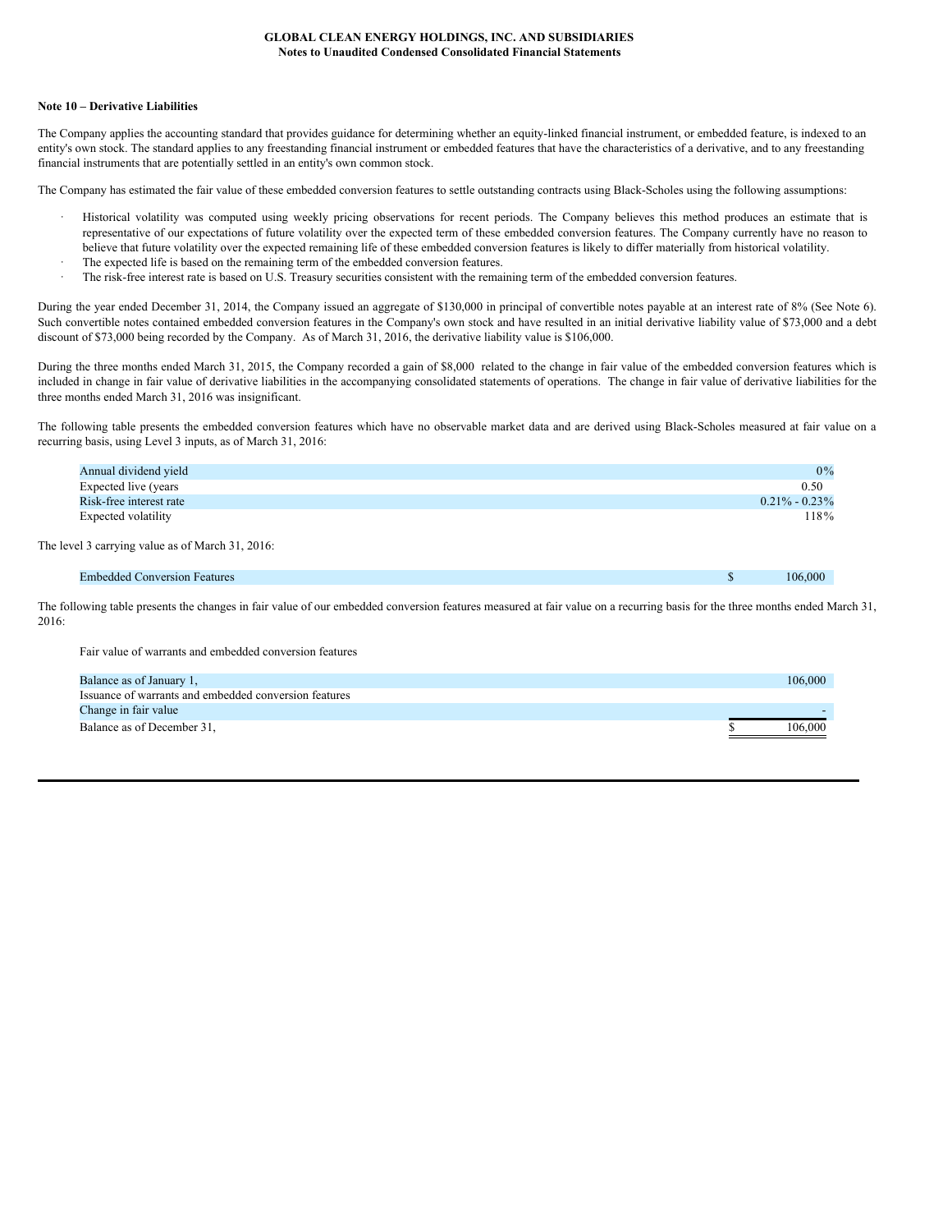#### **Note 10 – Derivative Liabilities**

The Company applies the accounting standard that provides guidance for determining whether an equity-linked financial instrument, or embedded feature, is indexed to an entity's own stock. The standard applies to any freestanding financial instrument or embedded features that have the characteristics of a derivative, and to any freestanding financial instruments that are potentially settled in an entity's own common stock.

The Company has estimated the fair value of these embedded conversion features to settle outstanding contracts using Black-Scholes using the following assumptions:

- · Historical volatility was computed using weekly pricing observations for recent periods. The Company believes this method produces an estimate that is representative of our expectations of future volatility over the expected term of these embedded conversion features. The Company currently have no reason to believe that future volatility over the expected remaining life of these embedded conversion features is likely to differ materially from historical volatility. The expected life is based on the remaining term of the embedded conversion features.
- The risk-free interest rate is based on U.S. Treasury securities consistent with the remaining term of the embedded conversion features.

During the year ended December 31, 2014, the Company issued an aggregate of \$130,000 in principal of convertible notes payable at an interest rate of 8% (See Note 6). Such convertible notes contained embedded conversion features in the Company's own stock and have resulted in an initial derivative liability value of \$73,000 and a debt discount of \$73,000 being recorded by the Company. As of March 31, 2016, the derivative liability value is \$106,000.

During the three months ended March 31, 2015, the Company recorded a gain of \$8,000 related to the change in fair value of the embedded conversion features which is included in change in fair value of derivative liabilities in the accompanying consolidated statements of operations. The change in fair value of derivative liabilities for the three months ended March 31, 2016 was insignificant.

The following table presents the embedded conversion features which have no observable market data and are derived using Black-Scholes measured at fair value on a recurring basis, using Level 3 inputs, as of March 31, 2016:

| Annual dividend yield   | $0\%$             |
|-------------------------|-------------------|
| Expected live (years    | 0.50              |
| Risk-free interest rate | $0.21\% - 0.23\%$ |
| Expected volatility     | 118%              |

The level 3 carrying value as of March 31, 2016:

| ____ | Embedded i<br>Conversion Features |  | 106.000 |
|------|-----------------------------------|--|---------|
|------|-----------------------------------|--|---------|

The following table presents the changes in fair value of our embedded conversion features measured at fair value on a recurring basis for the three months ended March 31, 2016:

Fair value of warrants and embedded conversion features

| Balance as of January 1,                              | 106,000 |
|-------------------------------------------------------|---------|
| Issuance of warrants and embedded conversion features |         |
| Change in fair value                                  |         |
| Balance as of December 31,                            | 106 000 |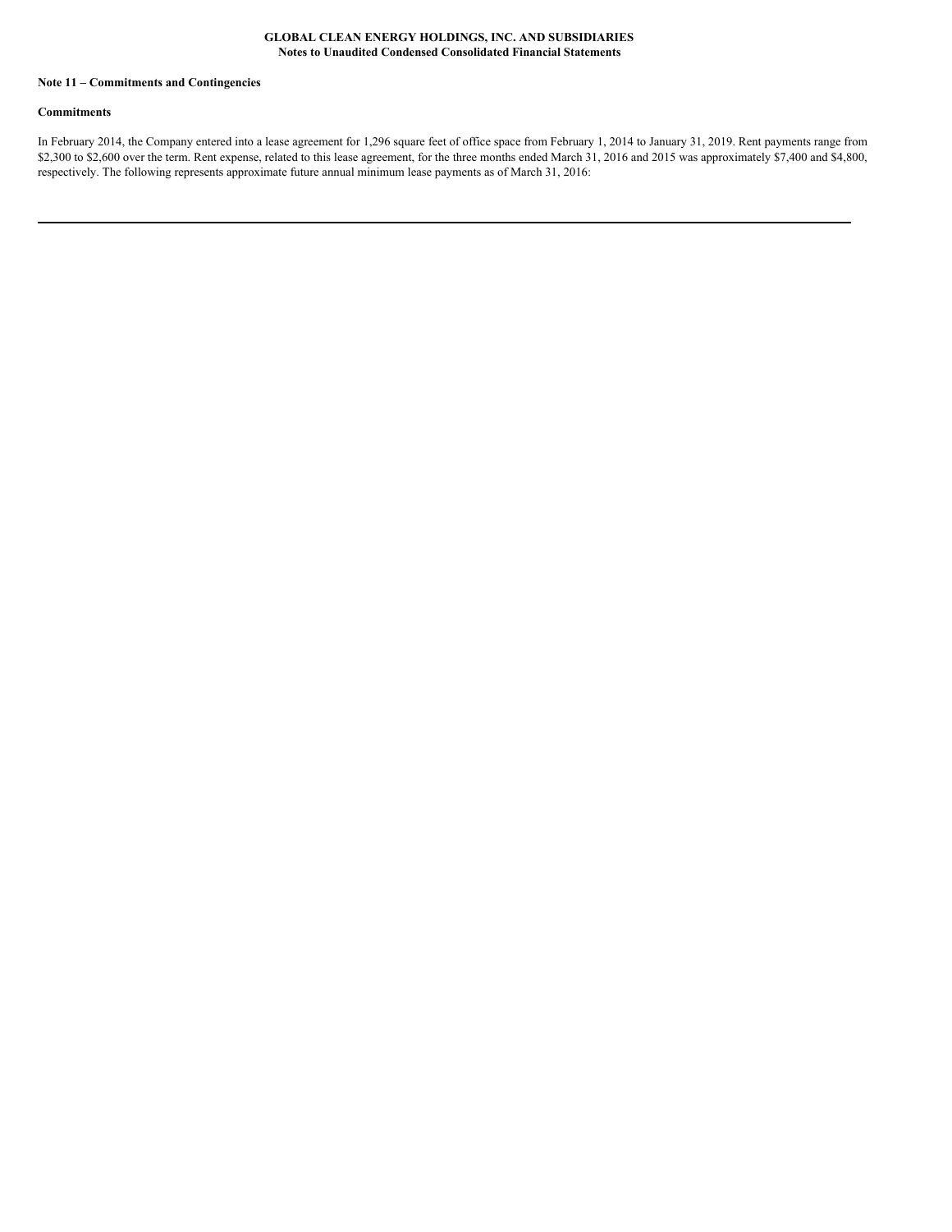### **Note 11 – Commitments and Contingencies**

## **Commitments**

In February 2014, the Company entered into a lease agreement for 1,296 square feet of office space from February 1, 2014 to January 31, 2019. Rent payments range from \$2,300 to \$2,600 over the term. Rent expense, related to this lease agreement, for the three months ended March 31, 2016 and 2015 was approximately \$7,400 and \$4,800, respectively. The following represents approximate future annual minimum lease payments as of March 31, 2016: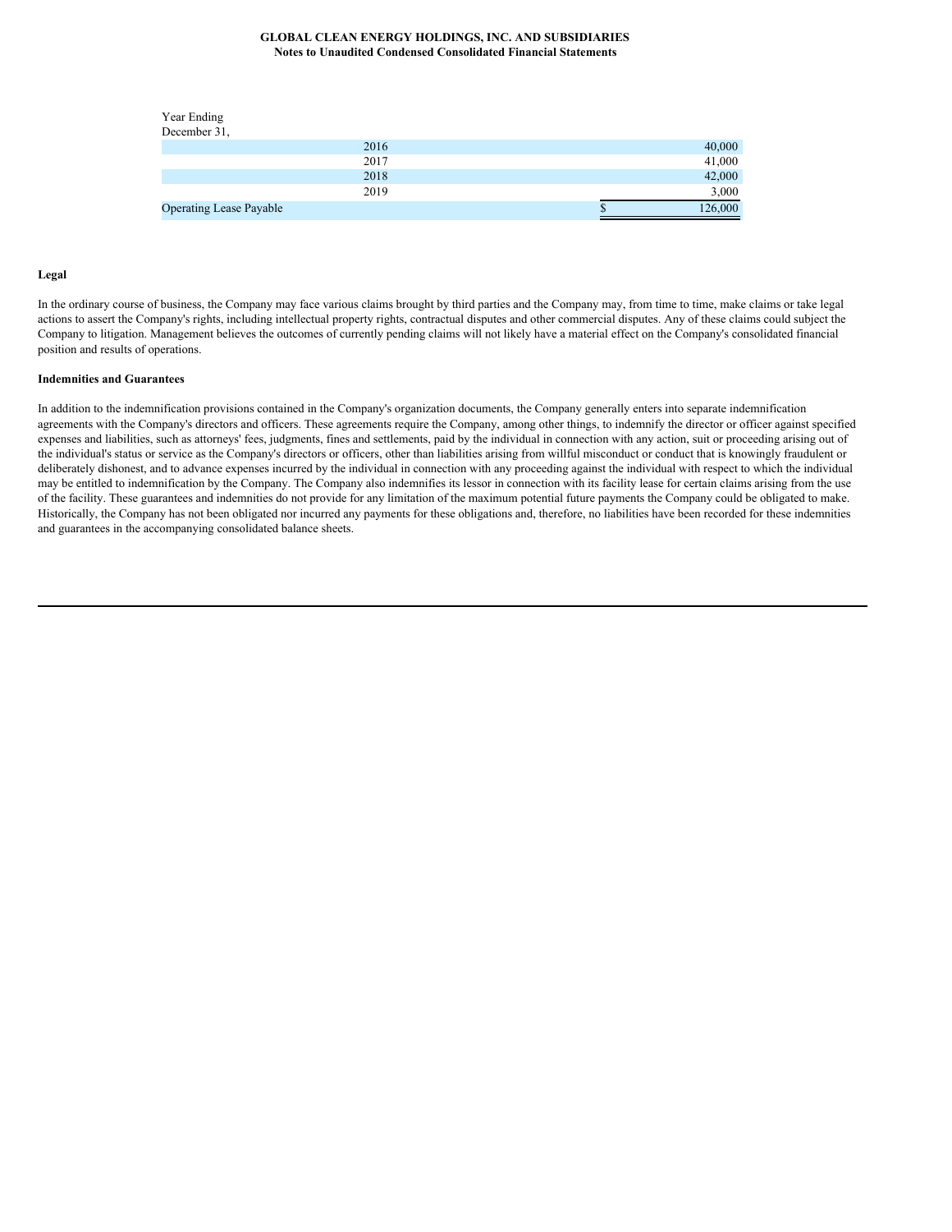#### Year Ending oombor<sup>3</sup>

| December 31,                   |      |              |  |
|--------------------------------|------|--------------|--|
|                                | 2016 | 40,000       |  |
|                                | 2017 | 41,000       |  |
|                                | 2018 | 42,000       |  |
|                                | 2019 | 3,000        |  |
| <b>Operating Lease Payable</b> |      | 126,000<br>S |  |

### **Legal**

In the ordinary course of business, the Company may face various claims brought by third parties and the Company may, from time to time, make claims or take legal actions to assert the Company's rights, including intellectual property rights, contractual disputes and other commercial disputes. Any of these claims could subject the Company to litigation. Management believes the outcomes of currently pending claims will not likely have a material effect on the Company's consolidated financial position and results of operations.

#### **Indemnities and Guarantees**

In addition to the indemnification provisions contained in the Company's organization documents, the Company generally enters into separate indemnification agreements with the Company's directors and officers. These agreements require the Company, among other things, to indemnify the director or officer against specified expenses and liabilities, such as attorneys' fees, judgments, fines and settlements, paid by the individual in connection with any action, suit or proceeding arising out of the individual's status or service as the Company's directors or officers, other than liabilities arising from willful misconduct or conduct that is knowingly fraudulent or deliberately dishonest, and to advance expenses incurred by the individual in connection with any proceeding against the individual with respect to which the individual may be entitled to indemnification by the Company. The Company also indemnifies its lessor in connection with its facility lease for certain claims arising from the use of the facility. These guarantees and indemnities do not provide for any limitation of the maximum potential future payments the Company could be obligated to make. Historically, the Company has not been obligated nor incurred any payments for these obligations and, therefore, no liabilities have been recorded for these indemnities and guarantees in the accompanying consolidated balance sheets.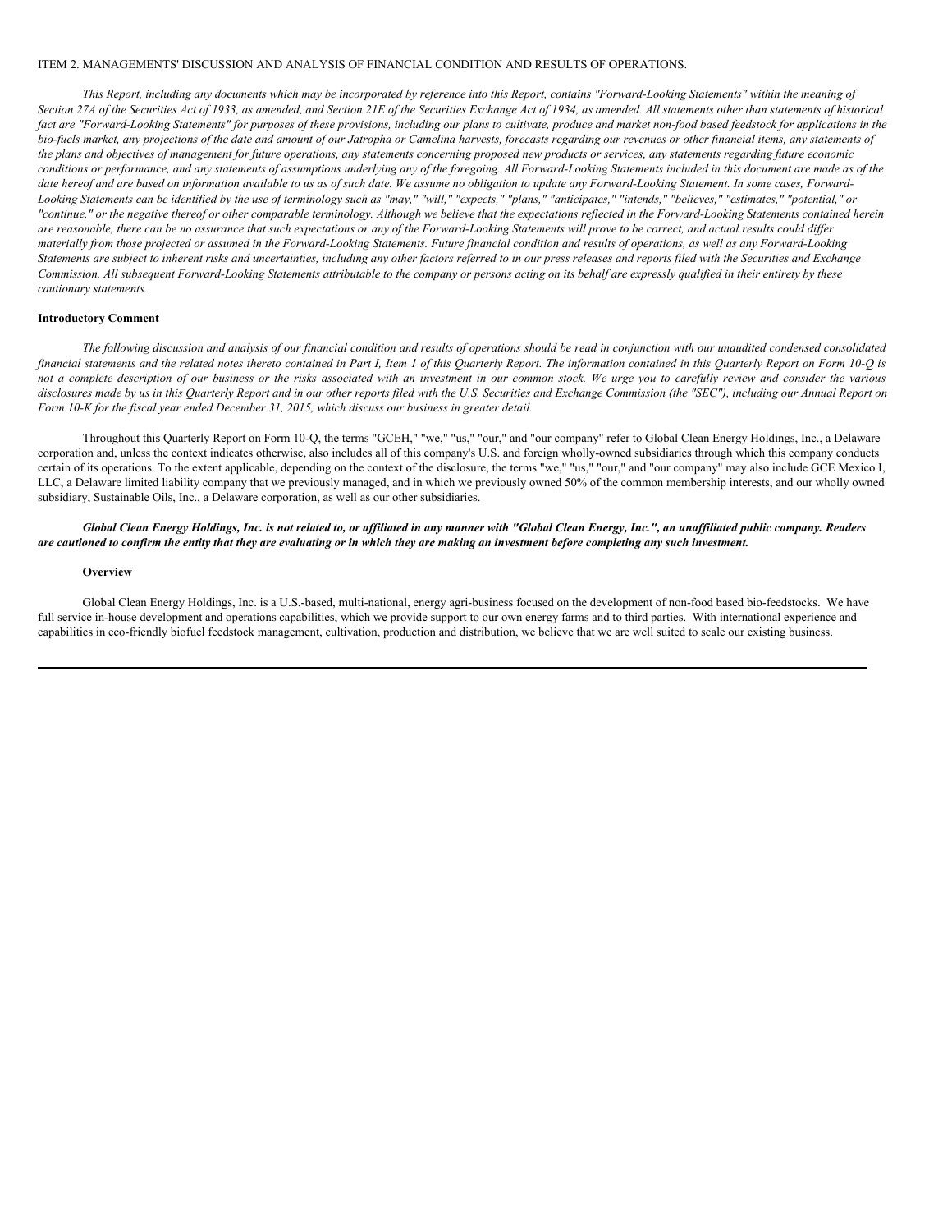#### ITEM 2. MANAGEMENTS' DISCUSSION AND ANALYSIS OF FINANCIAL CONDITION AND RESULTS OF OPERATIONS.

This Report, including any documents which may be incorporated by reference into this Report, contains "Forward-Looking Statements" within the meaning of Section 27A of the Securities Act of 1933, as amended, and Section 21E of the Securities Exchange Act of 1934, as amended. All statements other than statements of historical fact are "Forward-Looking Statements" for purposes of these provisions, including our plans to cultivate, produce and market non-food based feedstock for applications in the bio-fuels market, any projections of the date and amount of our Jatropha or Camelina harvests, forecasts regarding our revenues or other financial items, any statements of the plans and objectives of management for future operations, any statements concerning proposed new products or services, any statements regarding future economic conditions or performance, and any statements of assumptions underlying any of the foregoing. All Forward-Looking Statements included in this document are made as of the date hereof and are based on information available to us as of such date. We assume no obligation to update any Forward-Looking Statement. In some cases, Forward-Looking Statements can be identified by the use of terminology such as "may," "will," "expects," "plans," "anticipates," "intends," "believes," "estimates," "potential," or "continue," or the negative thereof or other comparable terminology. Although we believe that the expectations reflected in the Forward-Looking Statements contained herein are reasonable, there can be no assurance that such expectations or any of the Forward-Looking Statements will prove to be correct, and actual results could differ materially from those projected or assumed in the Forward-Looking Statements. Future financial condition and results of operations, as well as any Forward-Looking Statements are subject to inherent risks and uncertainties, including any other factors referred to in our press releases and reports filed with the Securities and Exchange Commission. All subsequent Forward-Looking Statements attributable to the company or persons acting on its behalf are expressly qualified in their entirety by these *cautionary statements.*

### **Introductory Comment**

The following discussion and analysis of our financial condition and results of operations should be read in conjunction with our unaudited condensed consolidated financial statements and the related notes thereto contained in Part I, Item 1 of this Quarterly Report. The information contained in this Quarterly Report on Form 10-Q is not a complete description of our business or the risks associated with an investment in our common stock. We urge you to carefully review and consider the various disclosures made by us in this Quarterly Report and in our other reports filed with the U.S. Securities and Exchange Commission (the "SEC"), including our Annual Report on *Form 10-K for the fiscal year ended December 31, 2015, which discuss our business in greater detail.*

Throughout this Quarterly Report on Form 10-Q, the terms "GCEH," "we," "us," "our," and "our company" refer to Global Clean Energy Holdings, Inc., a Delaware corporation and, unless the context indicates otherwise, also includes all of this company's U.S. and foreign wholly-owned subsidiaries through which this company conducts certain of its operations. To the extent applicable, depending on the context of the disclosure, the terms "we," "us," "our," and "our company" may also include GCE Mexico I, LLC, a Delaware limited liability company that we previously managed, and in which we previously owned 50% of the common membership interests, and our wholly owned subsidiary, Sustainable Oils, Inc., a Delaware corporation, as well as our other subsidiaries.

Global Clean Energy Holdings, Inc. is not related to, or affiliated in any manner with "Global Clean Energy, Inc.", an unaffiliated public company. Readers are cautioned to confirm the entity that they are evaluating or in which they are making an investment before completing any such investment.

### **Overview**

Global Clean Energy Holdings, Inc. is a U.S.-based, multi-national, energy agri-business focused on the development of non-food based bio-feedstocks. We have full service in-house development and operations capabilities, which we provide support to our own energy farms and to third parties. With international experience and capabilities in eco-friendly biofuel feedstock management, cultivation, production and distribution, we believe that we are well suited to scale our existing business.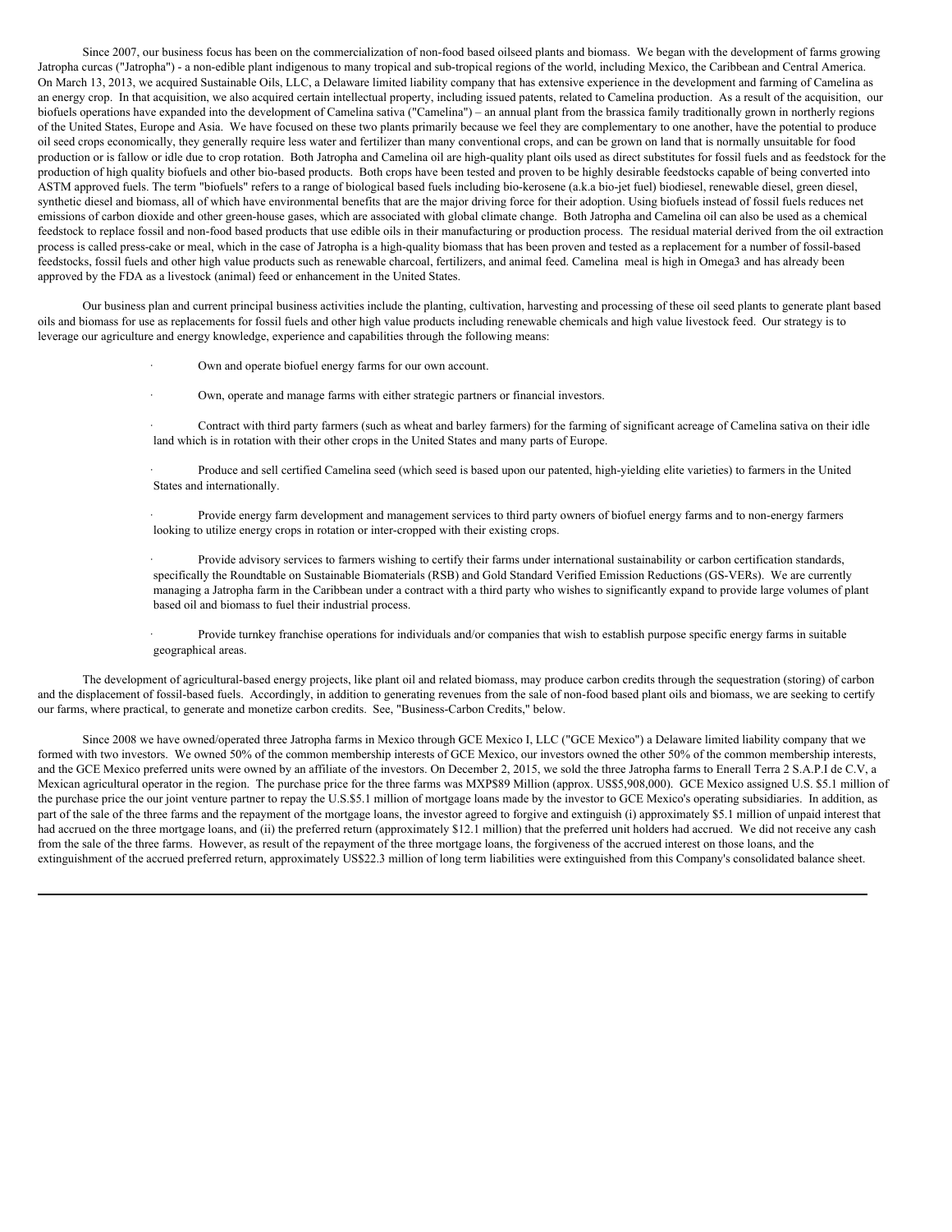Since 2007, our business focus has been on the commercialization of non-food based oilseed plants and biomass. We began with the development of farms growing Jatropha curcas ("Jatropha") - a non-edible plant indigenous to many tropical and sub-tropical regions of the world, including Mexico, the Caribbean and Central America. On March 13, 2013, we acquired Sustainable Oils, LLC, a Delaware limited liability company that has extensive experience in the development and farming of Camelina as an energy crop. In that acquisition, we also acquired certain intellectual property, including issued patents, related to Camelina production. As a result of the acquisition, our biofuels operations have expanded into the development of Camelina sativa ("Camelina") – an annual plant from the brassica family traditionally grown in northerly regions of the United States, Europe and Asia. We have focused on these two plants primarily because we feel they are complementary to one another, have the potential to produce oil seed crops economically, they generally require less water and fertilizer than many conventional crops, and can be grown on land that is normally unsuitable for food production or is fallow or idle due to crop rotation. Both Jatropha and Camelina oil are high-quality plant oils used as direct substitutes for fossil fuels and as feedstock for the production of high quality biofuels and other bio-based products. Both crops have been tested and proven to be highly desirable feedstocks capable of being converted into ASTM approved fuels. The term "biofuels" refers to a range of biological based fuels including bio-kerosene (a.k.a bio-jet fuel) biodiesel, renewable diesel, green diesel, synthetic diesel and biomass, all of which have environmental benefits that are the major driving force for their adoption. Using biofuels instead of fossil fuels reduces net emissions of carbon dioxide and other green-house gases, which are associated with global climate change. Both Jatropha and Camelina oil can also be used as a chemical feedstock to replace fossil and non-food based products that use edible oils in their manufacturing or production process. The residual material derived from the oil extraction process is called press-cake or meal, which in the case of Jatropha is a high-quality biomass that has been proven and tested as a replacement for a number of fossil-based feedstocks, fossil fuels and other high value products such as renewable charcoal, fertilizers, and animal feed. Camelina meal is high in Omega3 and has already been approved by the FDA as a livestock (animal) feed or enhancement in the United States.

Our business plan and current principal business activities include the planting, cultivation, harvesting and processing of these oil seed plants to generate plant based oils and biomass for use as replacements for fossil fuels and other high value products including renewable chemicals and high value livestock feed. Our strategy is to leverage our agriculture and energy knowledge, experience and capabilities through the following means:

Own and operate biofuel energy farms for our own account.

Own, operate and manage farms with either strategic partners or financial investors.

· Contract with third party farmers (such as wheat and barley farmers) for the farming of significant acreage of Camelina sativa on their idle land which is in rotation with their other crops in the United States and many parts of Europe.

· Produce and sell certified Camelina seed (which seed is based upon our patented, high-yielding elite varieties) to farmers in the United States and internationally.

· Provide energy farm development and management services to third party owners of biofuel energy farms and to non-energy farmers looking to utilize energy crops in rotation or inter-cropped with their existing crops.

Provide advisory services to farmers wishing to certify their farms under international sustainability or carbon certification standards, specifically the Roundtable on Sustainable Biomaterials (RSB) and Gold Standard Verified Emission Reductions (GS-VERs). We are currently managing a Jatropha farm in the Caribbean under a contract with a third party who wishes to significantly expand to provide large volumes of plant based oil and biomass to fuel their industrial process.

Provide turnkey franchise operations for individuals and/or companies that wish to establish purpose specific energy farms in suitable geographical areas.

The development of agricultural-based energy projects, like plant oil and related biomass, may produce carbon credits through the sequestration (storing) of carbon and the displacement of fossil-based fuels. Accordingly, in addition to generating revenues from the sale of non-food based plant oils and biomass, we are seeking to certify our farms, where practical, to generate and monetize carbon credits. See, "Business-Carbon Credits," below.

Since 2008 we have owned/operated three Jatropha farms in Mexico through GCE Mexico I, LLC ("GCE Mexico") a Delaware limited liability company that we formed with two investors. We owned 50% of the common membership interests of GCE Mexico, our investors owned the other 50% of the common membership interests, and the GCE Mexico preferred units were owned by an affiliate of the investors. On December 2, 2015, we sold the three Jatropha farms to Enerall Terra 2 S.A.P.I de C.V, a Mexican agricultural operator in the region. The purchase price for the three farms was MXP\$89 Million (approx. US\$5,908,000). GCE Mexico assigned U.S. \$5.1 million of the purchase price the our joint venture partner to repay the U.S.\$5.1 million of mortgage loans made by the investor to GCE Mexico's operating subsidiaries. In addition, as part of the sale of the three farms and the repayment of the mortgage loans, the investor agreed to forgive and extinguish (i) approximately \$5.1 million of unpaid interest that had accrued on the three mortgage loans, and (ii) the preferred return (approximately \$12.1 million) that the preferred unit holders had accrued. We did not receive any cash from the sale of the three farms. However, as result of the repayment of the three mortgage loans, the forgiveness of the accrued interest on those loans, and the extinguishment of the accrued preferred return, approximately US\$22.3 million of long term liabilities were extinguished from this Company's consolidated balance sheet.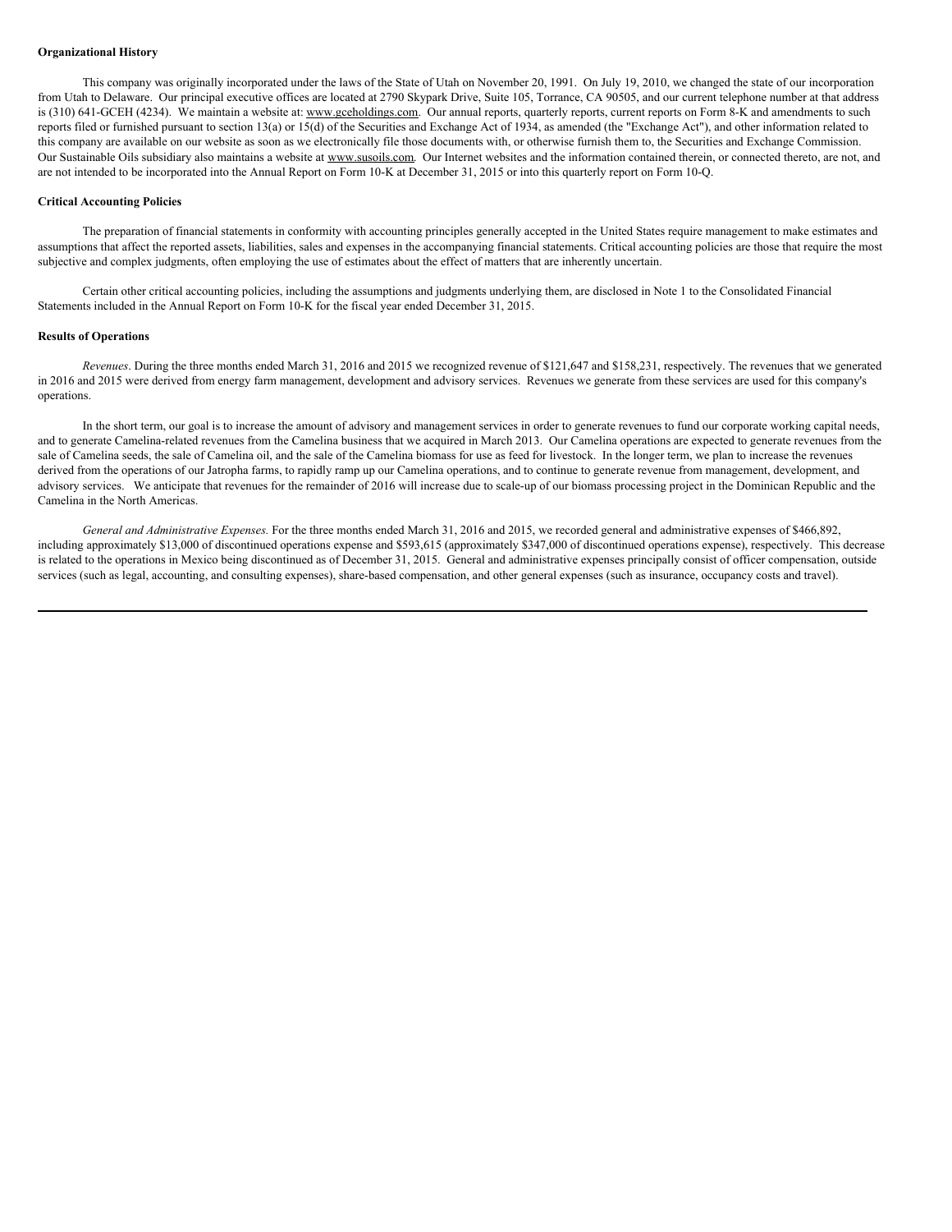#### **Organizational History**

This company was originally incorporated under the laws of the State of Utah on November 20, 1991. On July 19, 2010, we changed the state of our incorporation from Utah to Delaware. Our principal executive offices are located at 2790 Skypark Drive, Suite 105, Torrance, CA 90505, and our current telephone number at that address is (310) 641-GCEH (4234). We maintain a website at: www.gceholdings.com. Our annual reports, quarterly reports, current reports on Form 8-K and amendments to such reports filed or furnished pursuant to section 13(a) or 15(d) of the Securities and Exchange Act of 1934, as amended (the "Exchange Act"), and other information related to this company are available on our website as soon as we electronically file those documents with, or otherwise furnish them to, the Securities and Exchange Commission. Our Sustainable Oils subsidiary also maintains a website at www.susoils.com. Our Internet websites and the information contained therein, or connected thereto, are not, and are not intended to be incorporated into the Annual Report on Form 10-K at December 31, 2015 or into this quarterly report on Form 10-Q.

#### **Critical Accounting Policies**

The preparation of financial statements in conformity with accounting principles generally accepted in the United States require management to make estimates and assumptions that affect the reported assets, liabilities, sales and expenses in the accompanying financial statements. Critical accounting policies are those that require the most subjective and complex judgments, often employing the use of estimates about the effect of matters that are inherently uncertain.

Certain other critical accounting policies, including the assumptions and judgments underlying them, are disclosed in Note 1 to the Consolidated Financial Statements included in the Annual Report on Form 10-K for the fiscal year ended December 31, 2015.

### **Results of Operations**

*Revenues*. During the three months ended March 31, 2016 and 2015 we recognized revenue of \$121,647 and \$158,231, respectively. The revenues that we generated in 2016 and 2015 were derived from energy farm management, development and advisory services. Revenues we generate from these services are used for this company's operations.

In the short term, our goal is to increase the amount of advisory and management services in order to generate revenues to fund our corporate working capital needs, and to generate Camelina-related revenues from the Camelina business that we acquired in March 2013. Our Camelina operations are expected to generate revenues from the sale of Camelina seeds, the sale of Camelina oil, and the sale of the Camelina biomass for use as feed for livestock. In the longer term, we plan to increase the revenues derived from the operations of our Jatropha farms, to rapidly ramp up our Camelina operations, and to continue to generate revenue from management, development, and advisory services. We anticipate that revenues for the remainder of 2016 will increase due to scale-up of our biomass processing project in the Dominican Republic and the Camelina in the North Americas.

*General and Administrative Expenses.* For the three months ended March 31, 2016 and 2015, we recorded general and administrative expenses of \$466,892, including approximately \$13,000 of discontinued operations expense and \$593,615 (approximately \$347,000 of discontinued operations expense), respectively. This decrease is related to the operations in Mexico being discontinued as of December 31, 2015. General and administrative expenses principally consist of officer compensation, outside services (such as legal, accounting, and consulting expenses), share-based compensation, and other general expenses (such as insurance, occupancy costs and travel).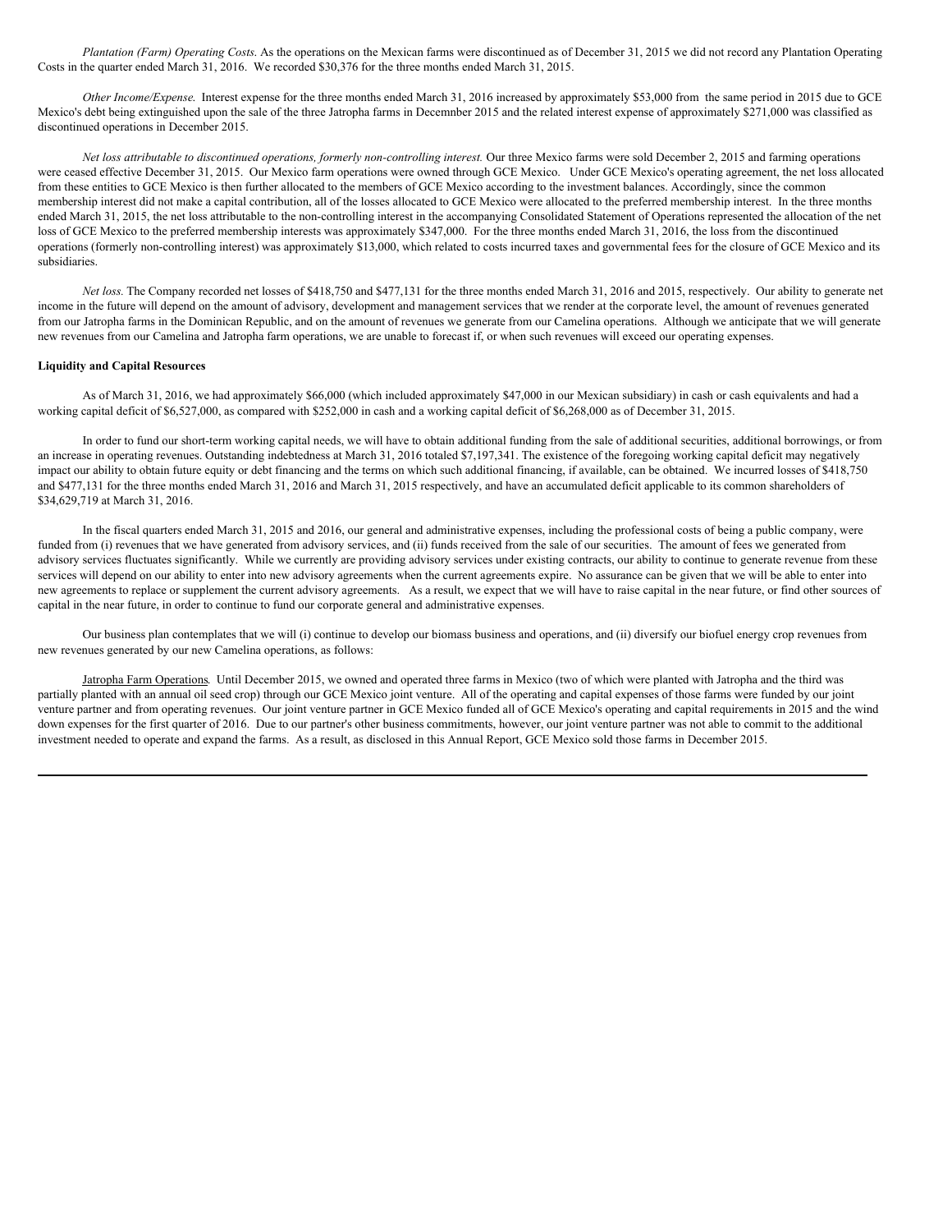*Plantation (Farm) Operating Costs*. As the operations on the Mexican farms were discontinued as of December 31, 2015 we did not record any Plantation Operating Costs in the quarter ended March 31, 2016. We recorded \$30,376 for the three months ended March 31, 2015.

*Other Income/Expense*. Interest expense for the three months ended March 31, 2016 increased by approximately \$53,000 from the same period in 2015 due to GCE Mexico's debt being extinguished upon the sale of the three Jatropha farms in Decemnber 2015 and the related interest expense of approximately \$271,000 was classified as discontinued operations in December 2015.

*Net loss attributable to discontinued operations, formerly non-controlling interest.* Our three Mexico farms were sold December 2, 2015 and farming operations were ceased effective December 31, 2015. Our Mexico farm operations were owned through GCE Mexico. Under GCE Mexico's operating agreement, the net loss allocated from these entities to GCE Mexico is then further allocated to the members of GCE Mexico according to the investment balances. Accordingly, since the common membership interest did not make a capital contribution, all of the losses allocated to GCE Mexico were allocated to the preferred membership interest. In the three months ended March 31, 2015, the net loss attributable to the non-controlling interest in the accompanying Consolidated Statement of Operations represented the allocation of the net loss of GCE Mexico to the preferred membership interests was approximately \$347,000. For the three months ended March 31, 2016, the loss from the discontinued operations (formerly non-controlling interest) was approximately \$13,000, which related to costs incurred taxes and governmental fees for the closure of GCE Mexico and its subsidiaries.

*Net loss.* The Company recorded net losses of \$418,750 and \$477,131 for the three months ended March 31, 2016 and 2015, respectively. Our ability to generate net income in the future will depend on the amount of advisory, development and management services that we render at the corporate level, the amount of revenues generated from our Jatropha farms in the Dominican Republic, and on the amount of revenues we generate from our Camelina operations. Although we anticipate that we will generate new revenues from our Camelina and Jatropha farm operations, we are unable to forecast if, or when such revenues will exceed our operating expenses.

#### **Liquidity and Capital Resources**

As of March 31, 2016, we had approximately \$66,000 (which included approximately \$47,000 in our Mexican subsidiary) in cash or cash equivalents and had a working capital deficit of \$6,527,000, as compared with \$252,000 in cash and a working capital deficit of \$6,268,000 as of December 31, 2015.

In order to fund our short-term working capital needs, we will have to obtain additional funding from the sale of additional securities, additional borrowings, or from an increase in operating revenues. Outstanding indebtedness at March 31, 2016 totaled \$7,197,341. The existence of the foregoing working capital deficit may negatively impact our ability to obtain future equity or debt financing and the terms on which such additional financing, if available, can be obtained. We incurred losses of \$418,750 and \$477,131 for the three months ended March 31, 2016 and March 31, 2015 respectively, and have an accumulated deficit applicable to its common shareholders of \$34,629,719 at March 31, 2016.

In the fiscal quarters ended March 31, 2015 and 2016, our general and administrative expenses, including the professional costs of being a public company, were funded from (i) revenues that we have generated from advisory services, and (ii) funds received from the sale of our securities. The amount of fees we generated from advisory services fluctuates significantly. While we currently are providing advisory services under existing contracts, our ability to continue to generate revenue from these services will depend on our ability to enter into new advisory agreements when the current agreements expire. No assurance can be given that we will be able to enter into new agreements to replace or supplement the current advisory agreements. As a result, we expect that we will have to raise capital in the near future, or find other sources of capital in the near future, in order to continue to fund our corporate general and administrative expenses.

Our business plan contemplates that we will (i) continue to develop our biomass business and operations, and (ii) diversify our biofuel energy crop revenues from new revenues generated by our new Camelina operations, as follows:

Jatropha Farm Operations. Until December 2015, we owned and operated three farms in Mexico (two of which were planted with Jatropha and the third was partially planted with an annual oil seed crop) through our GCE Mexico joint venture. All of the operating and capital expenses of those farms were funded by our joint venture partner and from operating revenues. Our joint venture partner in GCE Mexico funded all of GCE Mexico's operating and capital requirements in 2015 and the wind down expenses for the first quarter of 2016. Due to our partner's other business commitments, however, our joint venture partner was not able to commit to the additional investment needed to operate and expand the farms. As a result, as disclosed in this Annual Report, GCE Mexico sold those farms in December 2015.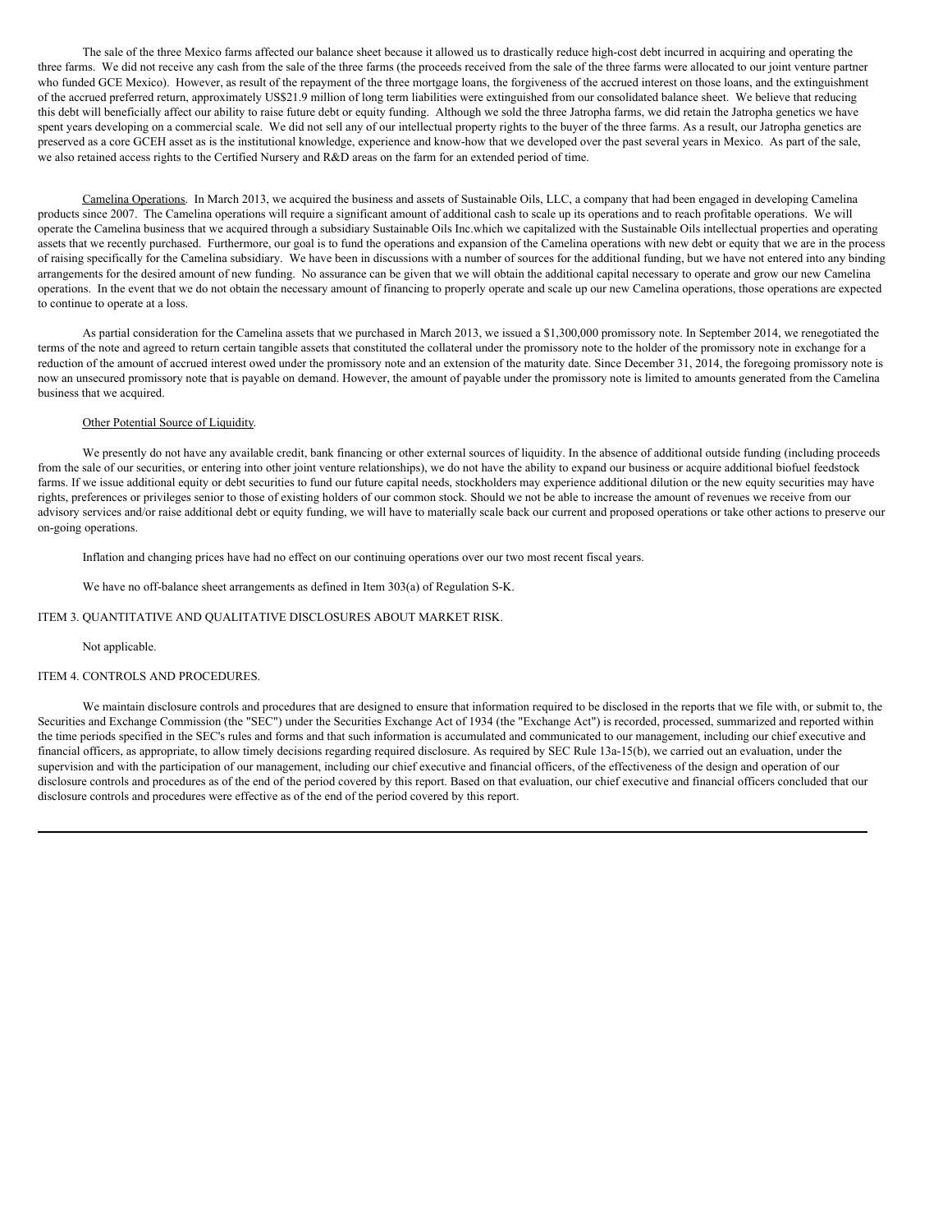The sale of the three Mexico farms affected our balance sheet because it allowed us to drastically reduce high-cost debt incurred in acquiring and operating the three farms. We did not receive any cash from the sale of the three farms (the proceeds received from the sale of the three farms were allocated to our joint venture partner who funded GCE Mexico). However, as result of the repayment of the three mortgage loans, the forgiveness of the accrued interest on those loans, and the extinguishment of the accrued preferred return, approximately US\$21.9 million of long term liabilities were extinguished from our consolidated balance sheet. We believe that reducing this debt will beneficially affect our ability to raise future debt or equity funding. Although we sold the three Jatropha farms, we did retain the Jatropha genetics we have spent years developing on a commercial scale. We did not sell any of our intellectual property rights to the buyer of the three farms. As a result, our Jatropha genetics are preserved as a core GCEH asset as is the institutional knowledge, experience and know-how that we developed over the past several years in Mexico. As part of the sale, we also retained access rights to the Certified Nursery and R&D areas on the farm for an extended period of time.

Camelina Operations. In March 2013, we acquired the business and assets of Sustainable Oils, LLC, a company that had been engaged in developing Camelina products since 2007. The Camelina operations will require a significant amount of additional cash to scale up its operations and to reach profitable operations. We will operate the Camelina business that we acquired through a subsidiary Sustainable Oils Inc.which we capitalized with the Sustainable Oils intellectual properties and operating assets that we recently purchased. Furthermore, our goal is to fund the operations and expansion of the Camelina operations with new debt or equity that we are in the process of raising specifically for the Camelina subsidiary. We have been in discussions with a number of sources for the additional funding, but we have not entered into any binding arrangements for the desired amount of new funding. No assurance can be given that we will obtain the additional capital necessary to operate and grow our new Camelina operations. In the event that we do not obtain the necessary amount of financing to properly operate and scale up our new Camelina operations, those operations are expected to continue to operate at a loss.

As partial consideration for the Camelina assets that we purchased in March 2013, we issued a \$1,300,000 promissory note. In September 2014, we renegotiated the terms of the note and agreed to return certain tangible assets that constituted the collateral under the promissory note to the holder of the promissory note in exchange for a reduction of the amount of accrued interest owed under the promissory note and an extension of the maturity date. Since December 31, 2014, the foregoing promissory note is now an unsecured promissory note that is payable on demand. However, the amount of payable under the promissory note is limited to amounts generated from the Camelina business that we acquired.

### Other Potential Source of Liquidity.

We presently do not have any available credit, bank financing or other external sources of liquidity. In the absence of additional outside funding (including proceeds from the sale of our securities, or entering into other joint venture relationships), we do not have the ability to expand our business or acquire additional biofuel feedstock farms. If we issue additional equity or debt securities to fund our future capital needs, stockholders may experience additional dilution or the new equity securities may have rights, preferences or privileges senior to those of existing holders of our common stock. Should we not be able to increase the amount of revenues we receive from our advisory services and/or raise additional debt or equity funding, we will have to materially scale back our current and proposed operations or take other actions to preserve our on-going operations.

Inflation and changing prices have had no effect on our continuing operations over our two most recent fiscal years.

We have no off-balance sheet arrangements as defined in Item 303(a) of Regulation S-K.

#### ITEM 3. QUANTITATIVE AND QUALITATIVE DISCLOSURES ABOUT MARKET RISK.

Not applicable.

### ITEM 4. CONTROLS AND PROCEDURES.

We maintain disclosure controls and procedures that are designed to ensure that information required to be disclosed in the reports that we file with, or submit to, the Securities and Exchange Commission (the "SEC") under the Securities Exchange Act of 1934 (the "Exchange Act") is recorded, processed, summarized and reported within the time periods specified in the SEC's rules and forms and that such information is accumulated and communicated to our management, including our chief executive and financial officers, as appropriate, to allow timely decisions regarding required disclosure. As required by SEC Rule 13a-15(b), we carried out an evaluation, under the supervision and with the participation of our management, including our chief executive and financial officers, of the effectiveness of the design and operation of our disclosure controls and procedures as of the end of the period covered by this report. Based on that evaluation, our chief executive and financial officers concluded that our disclosure controls and procedures were effective as of the end of the period covered by this report.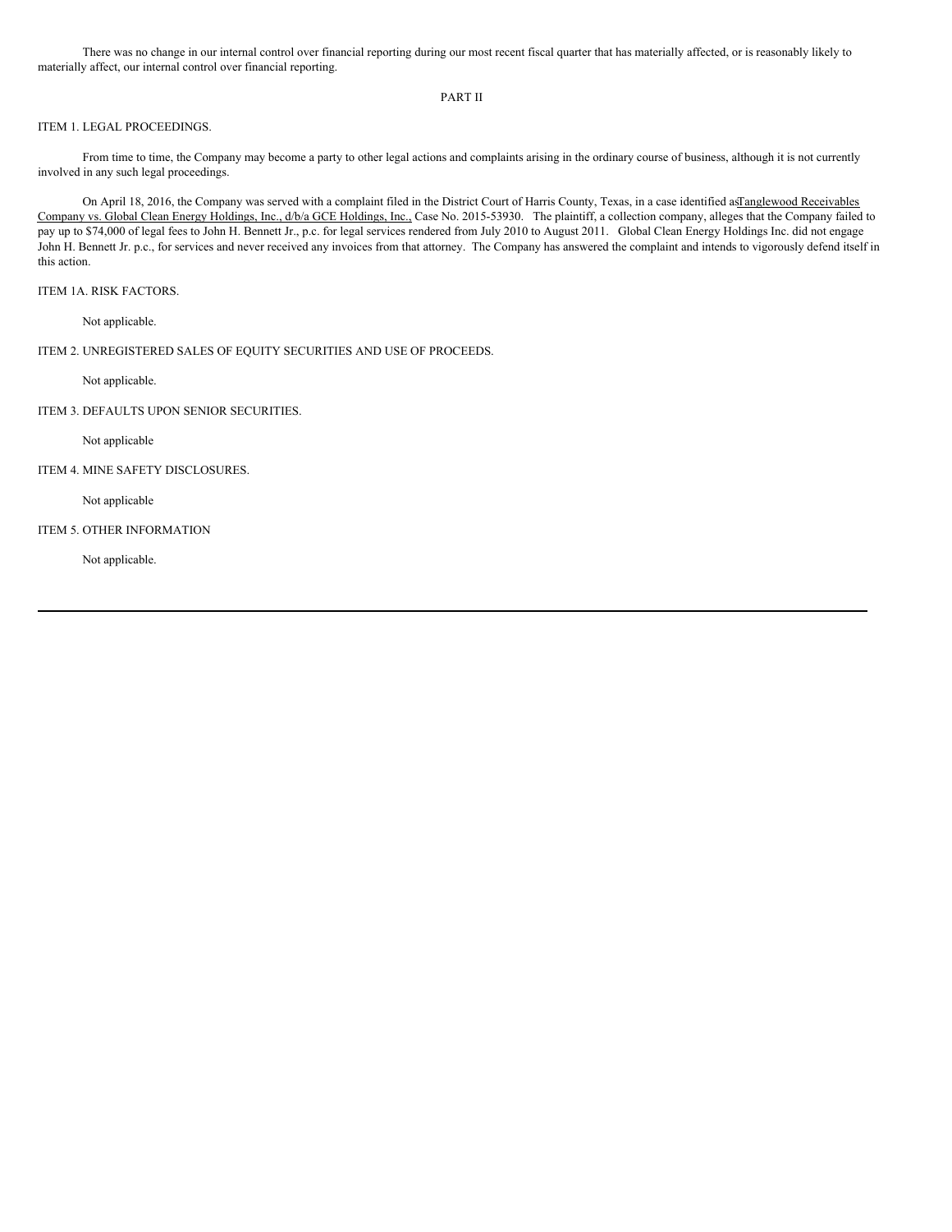There was no change in our internal control over financial reporting during our most recent fiscal quarter that has materially affected, or is reasonably likely to materially affect, our internal control over financial reporting.

### PART II

### ITEM 1. LEGAL PROCEEDINGS.

From time to time, the Company may become a party to other legal actions and complaints arising in the ordinary course of business, although it is not currently involved in any such legal proceedings.

On April 18, 2016, the Company was served with a complaint filed in the District Court of Harris County, Texas, in a case identified asTanglewood Receivables Company vs. Global Clean Energy Holdings, Inc., d/b/a GCE Holdings, Inc., Case No. 2015-53930. The plaintiff, a collection company, alleges that the Company failed to pay up to \$74,000 of legal fees to John H. Bennett Jr., p.c. for legal services rendered from July 2010 to August 2011. Global Clean Energy Holdings Inc. did not engage John H. Bennett Jr. p.c., for services and never received any invoices from that attorney. The Company has answered the complaint and intends to vigorously defend itself in this action.

ITEM 1A. RISK FACTORS.

Not applicable.

ITEM 2. UNREGISTERED SALES OF EQUITY SECURITIES AND USE OF PROCEEDS.

Not applicable.

ITEM 3. DEFAULTS UPON SENIOR SECURITIES.

Not applicable

ITEM 4. MINE SAFETY DISCLOSURES.

Not applicable

ITEM 5. OTHER INFORMATION

Not applicable.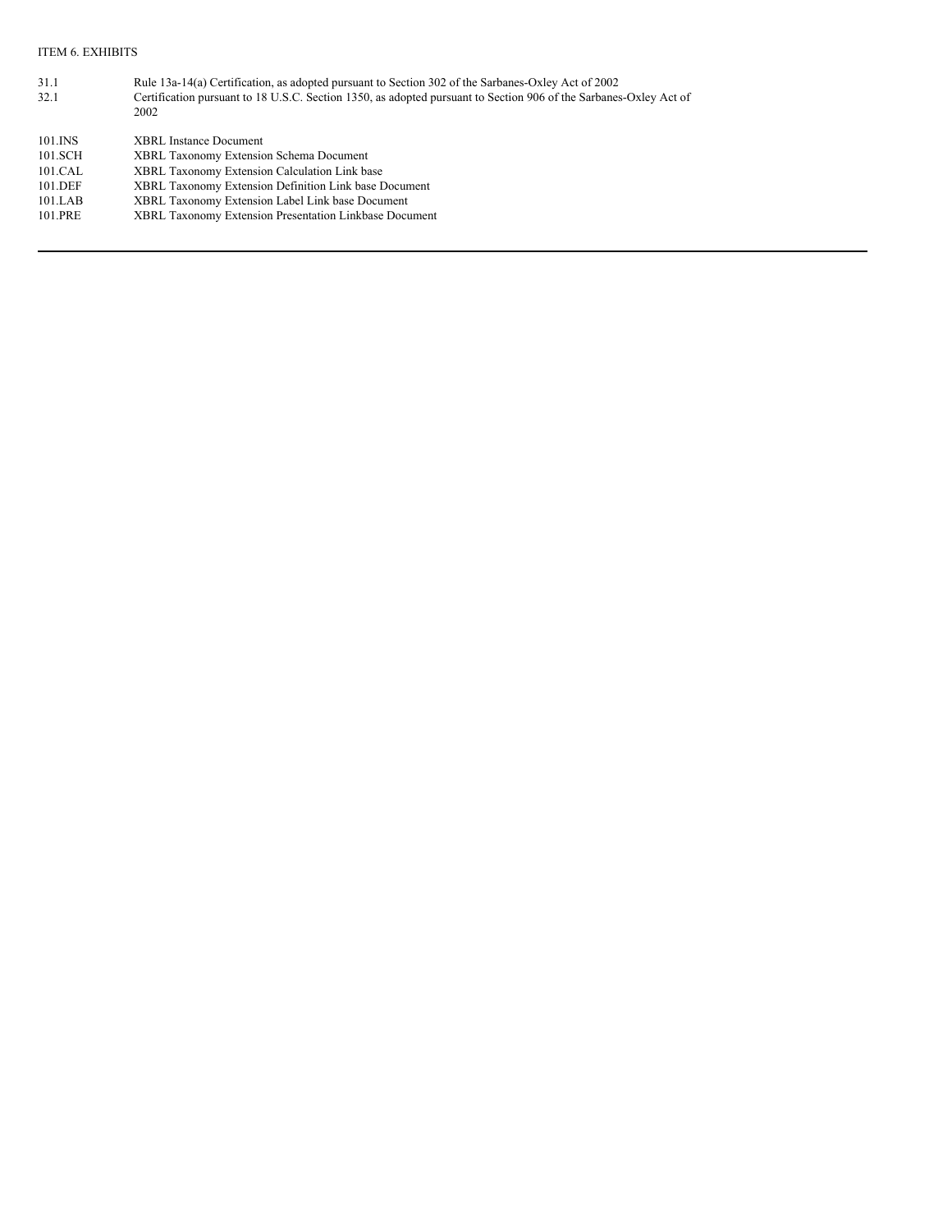# ITEM 6. EXHIBITS

| 31.1    | Rule 13a-14(a) Certification, as adopted pursuant to Section 302 of the Sarbanes-Oxley Act of 2002                        |
|---------|---------------------------------------------------------------------------------------------------------------------------|
| 32.1    | Certification pursuant to 18 U.S.C. Section 1350, as adopted pursuant to Section 906 of the Sarbanes-Oxley Act of<br>2002 |
| 101.INS | <b>XBRL</b> Instance Document                                                                                             |
| 101.SCH | <b>XBRL Taxonomy Extension Schema Document</b>                                                                            |
| 101.CAL | XBRL Taxonomy Extension Calculation Link base                                                                             |
| 101.DEF | XBRL Taxonomy Extension Definition Link base Document                                                                     |
| 101.LAB | XBRL Taxonomy Extension Label Link base Document                                                                          |
| 101.PRE | XBRL Taxonomy Extension Presentation Linkbase Document                                                                    |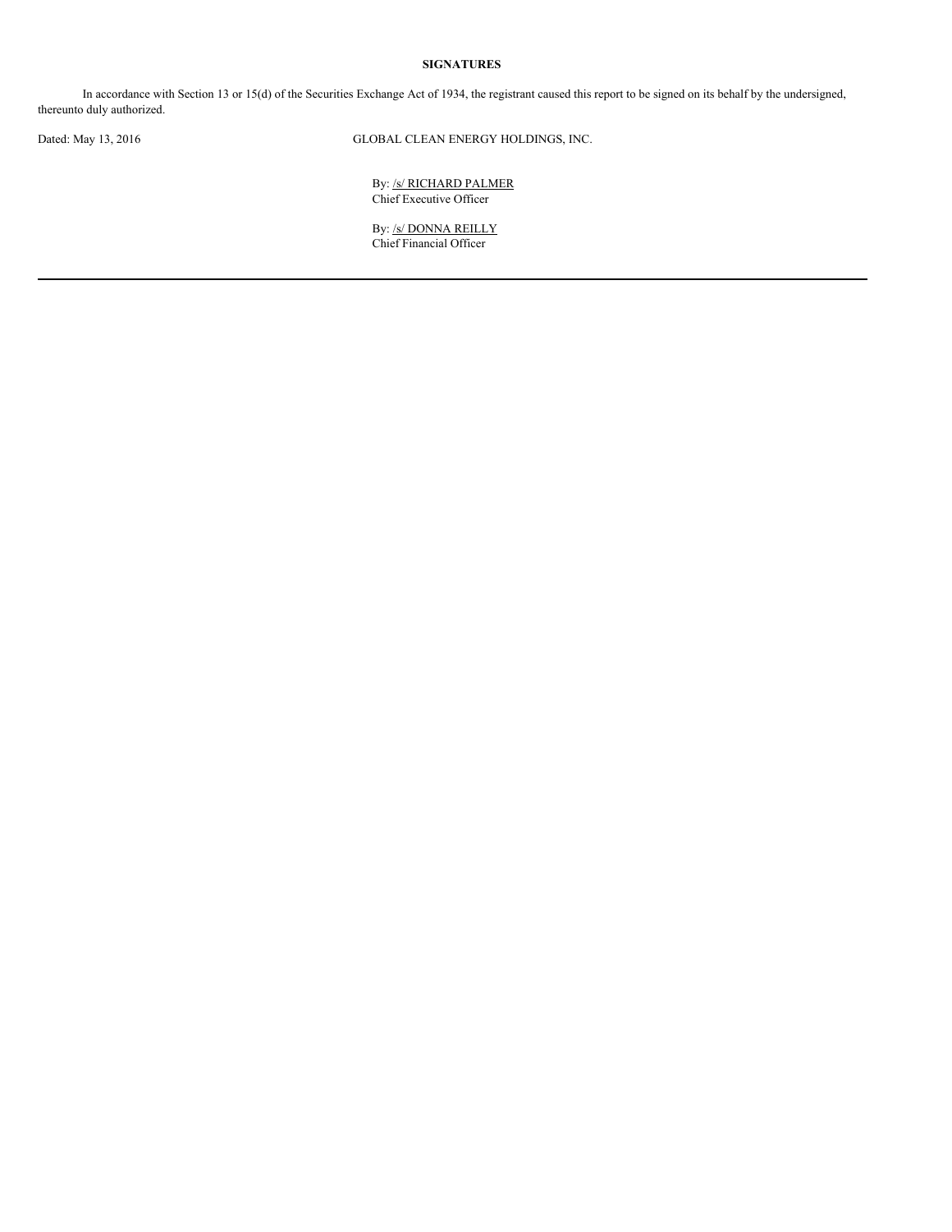### **SIGNATURES**

In accordance with Section 13 or 15(d) of the Securities Exchange Act of 1934, the registrant caused this report to be signed on its behalf by the undersigned, thereunto duly authorized.

Dated: May 13, 2016 GLOBAL CLEAN ENERGY HOLDINGS, INC.

By: /s/ RICHARD PALMER Chief Executive Officer

By: /s/ DONNA REILLY Chief Financial Officer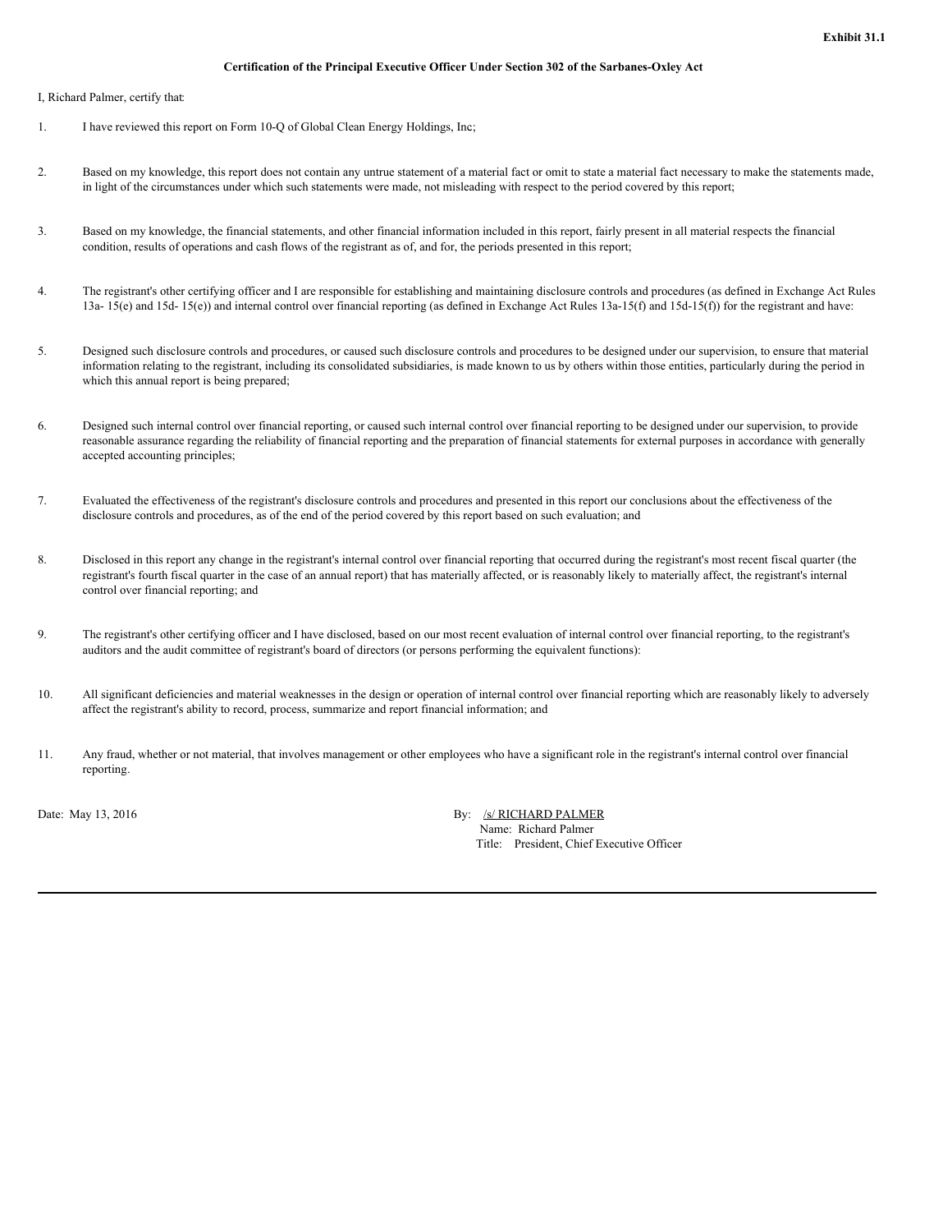### **Certification of the Principal Executive Officer Under Section 302 of the Sarbanes-Oxley Act**

I, Richard Palmer, certify that:

- 1. I have reviewed this report on Form 10-Q of Global Clean Energy Holdings, Inc.;
- 2. Based on my knowledge, this report does not contain any untrue statement of a material fact or omit to state a material fact necessary to make the statements made, in light of the circumstances under which such statements were made, not misleading with respect to the period covered by this report;
- 3. Based on my knowledge, the financial statements, and other financial information included in this report, fairly present in all material respects the financial condition, results of operations and cash flows of the registrant as of, and for, the periods presented in this report;
- 4. The registrant's other certifying officer and I are responsible for establishing and maintaining disclosure controls and procedures (as defined in Exchange Act Rules 13a- 15(e) and 15d- 15(e)) and internal control over financial reporting (as defined in Exchange Act Rules 13a-15(f) and 15d-15(f)) for the registrant and have:
- 5. Designed such disclosure controls and procedures, or caused such disclosure controls and procedures to be designed under our supervision, to ensure that material information relating to the registrant, including its consolidated subsidiaries, is made known to us by others within those entities, particularly during the period in which this annual report is being prepared;
- 6. Designed such internal control over financial reporting, or caused such internal control over financial reporting to be designed under our supervision, to provide reasonable assurance regarding the reliability of financial reporting and the preparation of financial statements for external purposes in accordance with generally accepted accounting principles;
- 7. Evaluated the effectiveness of the registrant's disclosure controls and procedures and presented in this report our conclusions about the effectiveness of the disclosure controls and procedures, as of the end of the period covered by this report based on such evaluation; and
- 8. Disclosed in this report any change in the registrant's internal control over financial reporting that occurred during the registrant's most recent fiscal quarter (the registrant's fourth fiscal quarter in the case of an annual report) that has materially affected, or is reasonably likely to materially affect, the registrant's internal control over financial reporting; and
- 9. The registrant's other certifying officer and I have disclosed, based on our most recent evaluation of internal control over financial reporting, to the registrant's auditors and the audit committee of registrant's board of directors (or persons performing the equivalent functions):
- 10. All significant deficiencies and material weaknesses in the design or operation of internal control over financial reporting which are reasonably likely to adversely affect the registrant's ability to record, process, summarize and report financial information; and
- 11. Any fraud, whether or not material, that involves management or other employees who have a significant role in the registrant's internal control over financial reporting.

Date: May 13, 2016 By: /s/ RICHARD PALMER Name: Richard Palmer Title: President, Chief Executive Officer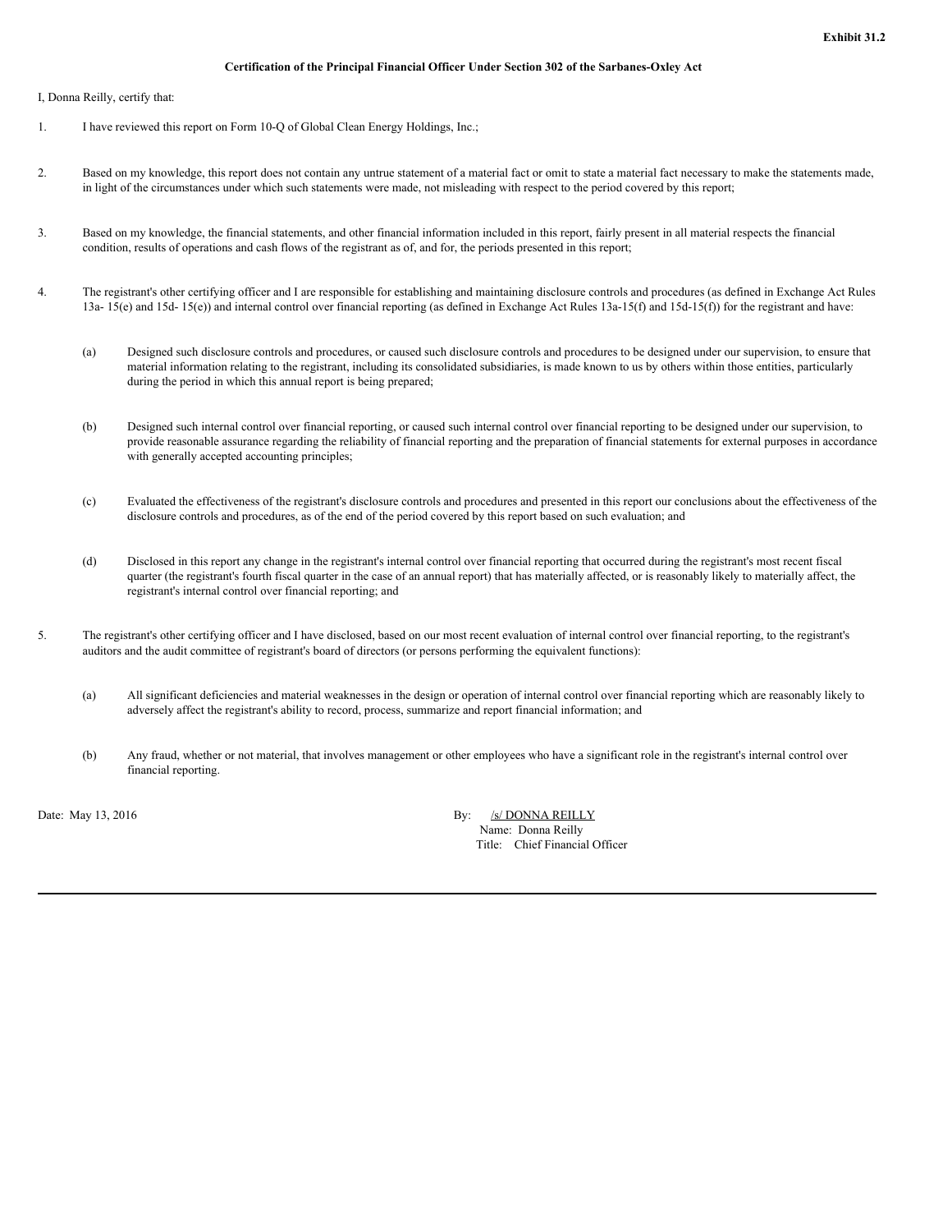### **Certification of the Principal Financial Officer Under Section 302 of the Sarbanes-Oxley Act**

I, Donna Reilly, certify that:

- 1. I have reviewed this report on Form 10-Q of Global Clean Energy Holdings, Inc.;
- 2. Based on my knowledge, this report does not contain any untrue statement of a material fact or omit to state a material fact necessary to make the statements made, in light of the circumstances under which such statements were made, not misleading with respect to the period covered by this report;
- 3. Based on my knowledge, the financial statements, and other financial information included in this report, fairly present in all material respects the financial condition, results of operations and cash flows of the registrant as of, and for, the periods presented in this report;
- 4. The registrant's other certifying officer and I are responsible for establishing and maintaining disclosure controls and procedures (as defined in Exchange Act Rules 13a- 15(e) and 15d- 15(e)) and internal control over financial reporting (as defined in Exchange Act Rules 13a-15(f) and 15d-15(f)) for the registrant and have:
	- (a) Designed such disclosure controls and procedures, or caused such disclosure controls and procedures to be designed under our supervision, to ensure that material information relating to the registrant, including its consolidated subsidiaries, is made known to us by others within those entities, particularly during the period in which this annual report is being prepared;
	- (b) Designed such internal control over financial reporting, or caused such internal control over financial reporting to be designed under our supervision, to provide reasonable assurance regarding the reliability of financial reporting and the preparation of financial statements for external purposes in accordance with generally accepted accounting principles;
	- (c) Evaluated the effectiveness of the registrant's disclosure controls and procedures and presented in this report our conclusions about the effectiveness of the disclosure controls and procedures, as of the end of the period covered by this report based on such evaluation; and
	- (d) Disclosed in this report any change in the registrant's internal control over financial reporting that occurred during the registrant's most recent fiscal quarter (the registrant's fourth fiscal quarter in the case of an annual report) that has materially affected, or is reasonably likely to materially affect, the registrant's internal control over financial reporting; and
- 5. The registrant's other certifying officer and I have disclosed, based on our most recent evaluation of internal control over financial reporting, to the registrant's auditors and the audit committee of registrant's board of directors (or persons performing the equivalent functions):
	- (a) All significant deficiencies and material weaknesses in the design or operation of internal control over financial reporting which are reasonably likely to adversely affect the registrant's ability to record, process, summarize and report financial information; and
	- (b) Any fraud, whether or not material, that involves management or other employees who have a significant role in the registrant's internal control over financial reporting.

Date: May 13, 2016 By: /s/ DONNA REILLY Name: Donna Reilly Title: Chief Financial Officer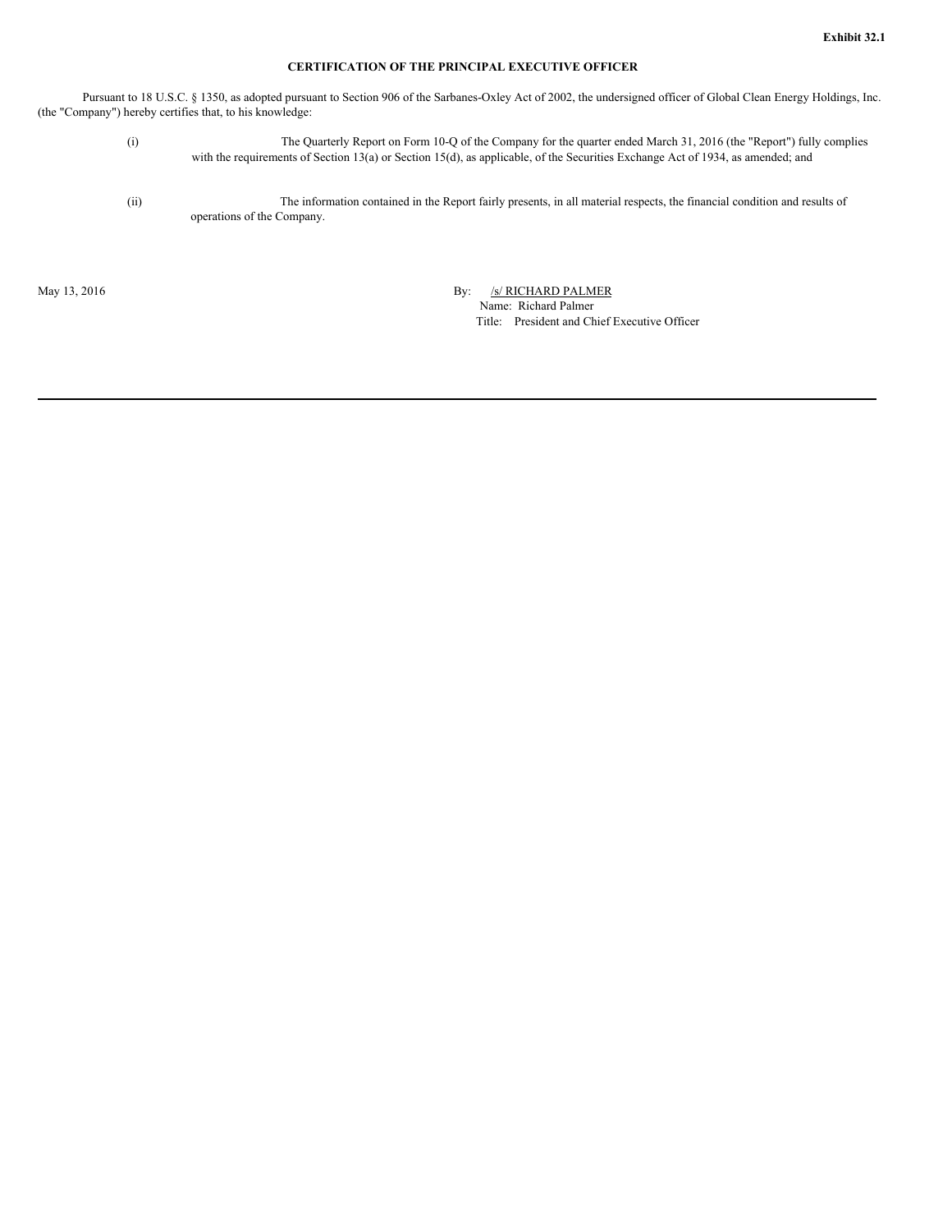## **CERTIFICATION OF THE PRINCIPAL EXECUTIVE OFFICER**

Pursuant to 18 U.S.C. § 1350, as adopted pursuant to Section 906 of the Sarbanes-Oxley Act of 2002, the undersigned officer of Global Clean Energy Holdings, Inc. (the "Company") hereby certifies that, to his knowledge:

- (i) The Quarterly Report on Form 10-Q of the Company for the quarter ended March 31, 2016 (the "Report") fully complies with the requirements of Section 13(a) or Section 15(d), as applicable, of the Securities Exchange Act of 1934, as amended; and
- (ii) The information contained in the Report fairly presents, in all material respects, the financial condition and results of operations of the Company.

May 13, 2016 By: /s/ RICHARD PALMER Name: Richard Palmer Title: President and Chief Executive Officer